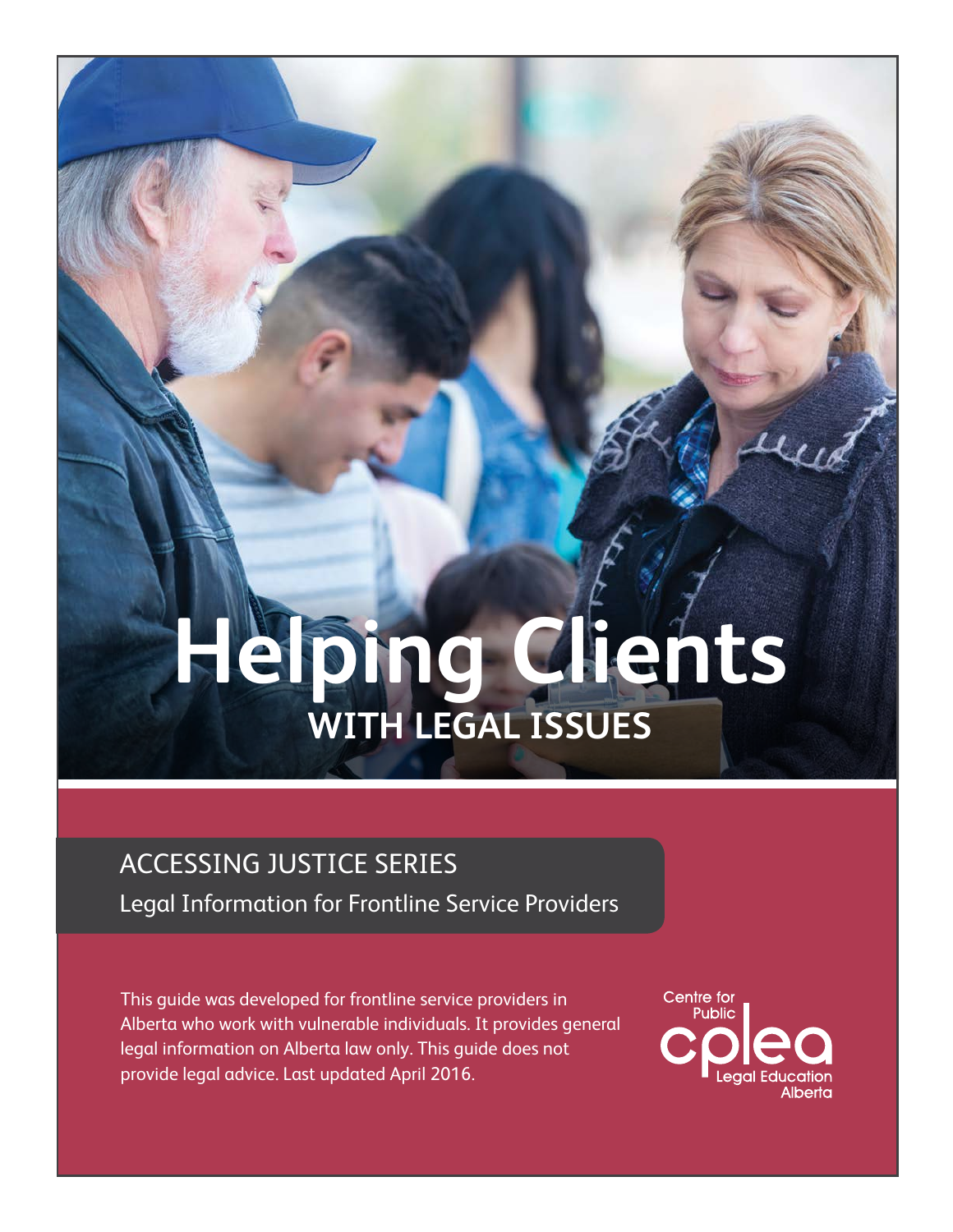# **Helping Clients with legal issues**

# ACCESSING JUSTICE Series

Legal Information for Frontline Service Providers

This guide was developed for frontline service providers in Alberta who work with vulnerable individuals. It provides general legal information on Alberta law only. This guide does not provide legal advice. Last updated April 2016.

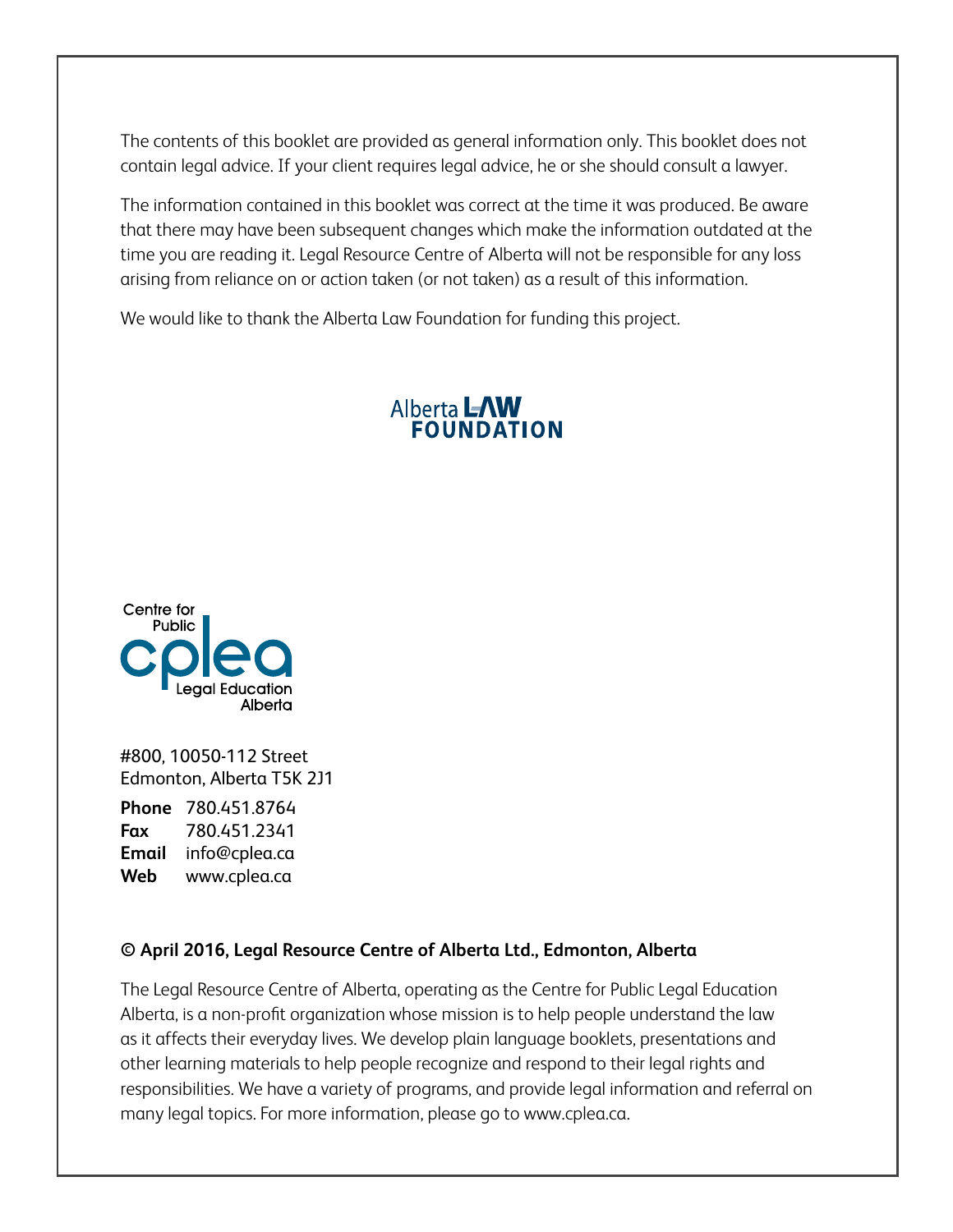The contents of this booklet are provided as general information only. This booklet does not contain legal advice. If your client requires legal advice, he or she should consult a lawyer.

The information contained in this booklet was correct at the time it was produced. Be aware that there may have been subsequent changes which make the information outdated at the time you are reading it. Legal Resource Centre of Alberta will not be responsible for any loss arising from reliance on or action taken (or not taken) as a result of this information.

We would like to thank the Alberta Law Foundation for funding this project.

#### Alberta LAW **FOUNDATION**



#800, 10050-112 Street Edmonton, Alberta T5K 2J1

**Phone** 780.451.8764 **Fax** 780.451.2341 **Email** info@cplea.ca **Web** www.cplea.ca

#### **© April 2016, Legal Resource Centre of Alberta Ltd., Edmonton, Alberta**

The Legal Resource Centre of Alberta, operating as the Centre for Public Legal Education Alberta, is a non-profit organization whose mission is to help people understand the law as it affects their everyday lives. We develop plain language booklets, presentations and other learning materials to help people recognize and respond to their legal rights and responsibilities. We have a variety of programs, and provide legal information and referral on many legal topics. For more information, please go to www.cplea.ca.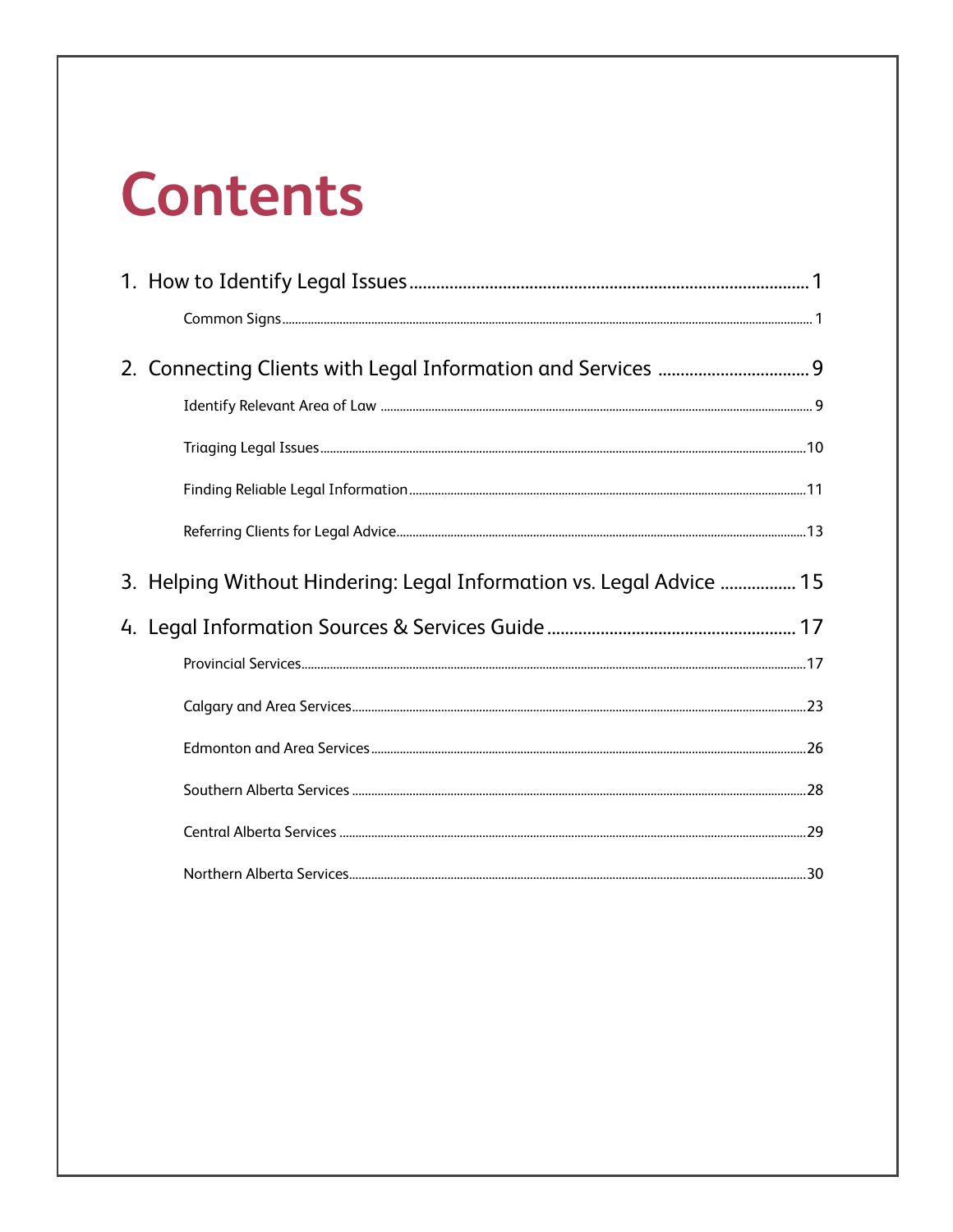# **Contents**

| 2. Connecting Clients with Legal Information and Services  9         |  |
|----------------------------------------------------------------------|--|
|                                                                      |  |
|                                                                      |  |
|                                                                      |  |
|                                                                      |  |
| 3. Helping Without Hindering: Legal Information vs. Legal Advice  15 |  |
|                                                                      |  |
|                                                                      |  |
|                                                                      |  |
|                                                                      |  |
|                                                                      |  |
|                                                                      |  |
|                                                                      |  |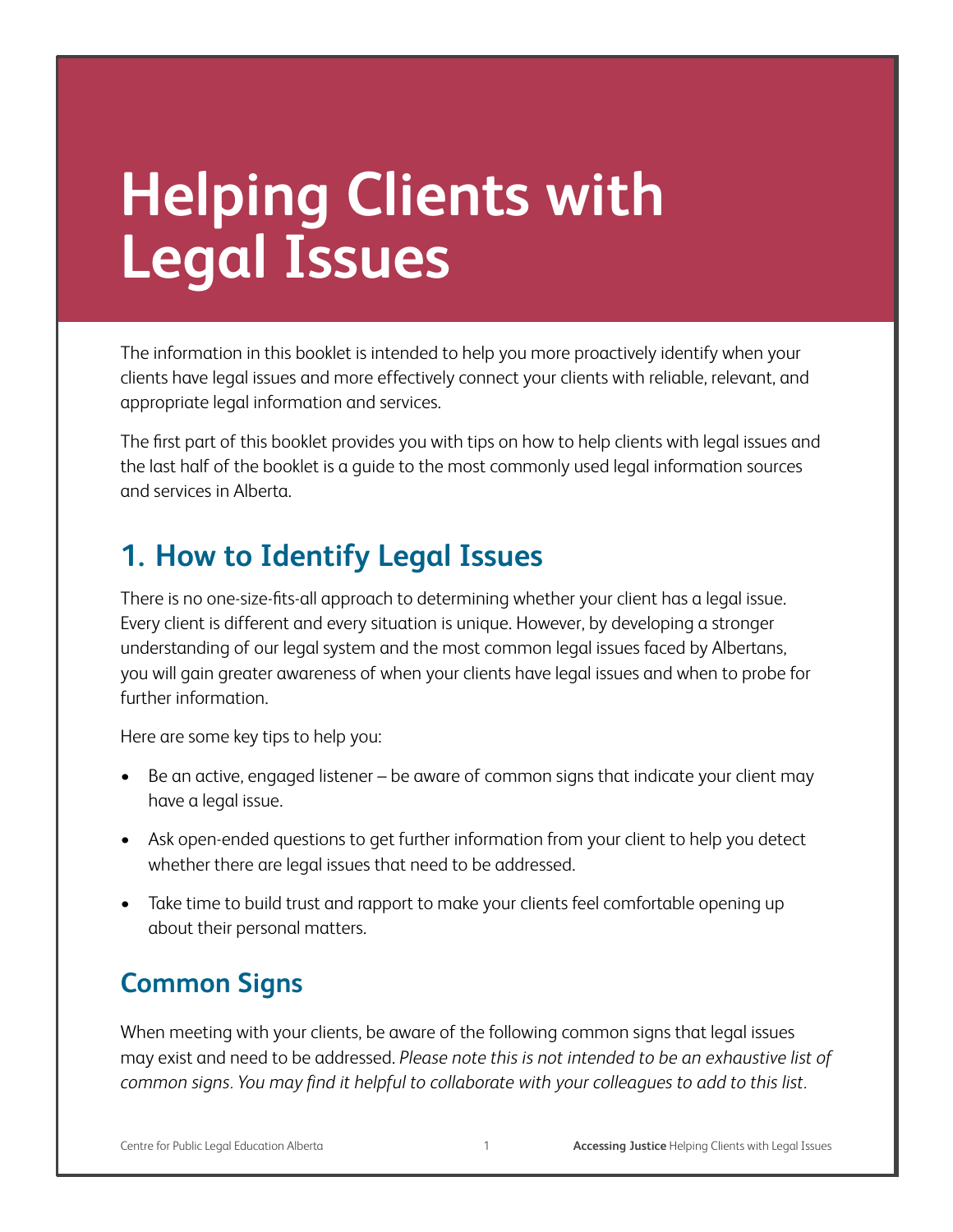# **Helping Clients with Legal Issues**

The information in this booklet is intended to help you more proactively identify when your clients have legal issues and more effectively connect your clients with reliable, relevant, and appropriate legal information and services.

The first part of this booklet provides you with tips on how to help clients with legal issues and the last half of the booklet is a guide to the most commonly used legal information sources and services in Alberta.

# **1. How to Identify Legal Issues**

There is no one-size-fits-all approach to determining whether your client has a legal issue. Every client is different and every situation is unique. However, by developing a stronger understanding of our legal system and the most common legal issues faced by Albertans, you will gain greater awareness of when your clients have legal issues and when to probe for further information.

Here are some key tips to help you:

- Be an active, engaged listener be aware of common signs that indicate your client may have a legal issue.
- Ask open-ended questions to get further information from your client to help you detect whether there are legal issues that need to be addressed.
- Take time to build trust and rapport to make your clients feel comfortable opening up about their personal matters.

## **Common Signs**

When meeting with your clients, be aware of the following common signs that legal issues may exist and need to be addressed. *Please note this is not intended to be an exhaustive list of common signs. You may find it helpful to collaborate with your colleagues to add to this list.*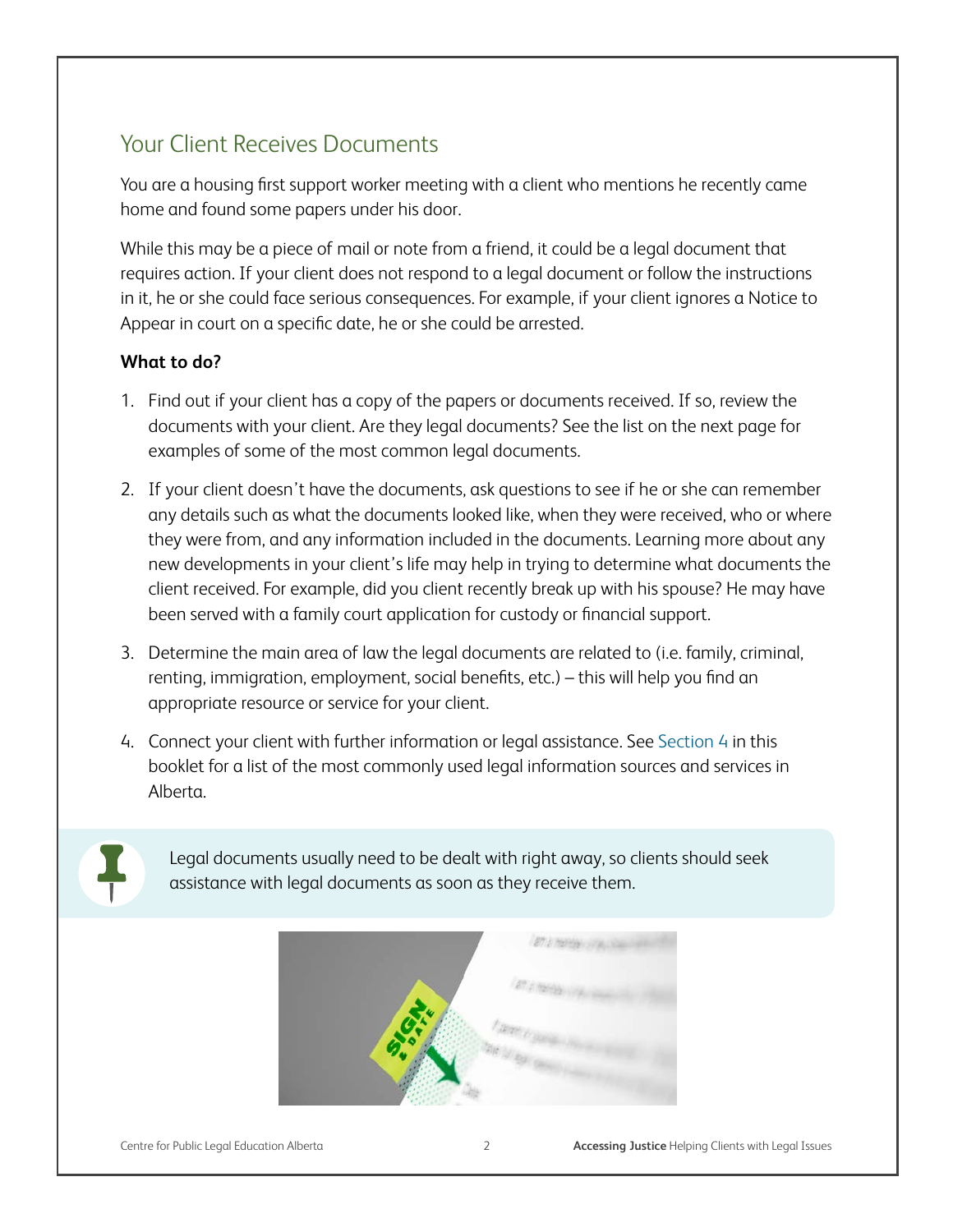### Your Client Receives Documents

You are a housing first support worker meeting with a client who mentions he recently came home and found some papers under his door.

While this may be a piece of mail or note from a friend, it could be a legal document that requires action. If your client does not respond to a legal document or follow the instructions in it, he or she could face serious consequences. For example, if your client ignores a Notice to Appear in court on a specific date, he or she could be arrested.

#### **What to do?**

- 1. Find out if your client has a copy of the papers or documents received. If so, review the documents with your client. Are they legal documents? See the list on the next page for examples of some of the most common legal documents.
- 2. If your client doesn't have the documents, ask questions to see if he or she can remember any details such as what the documents looked like, when they were received, who or where they were from, and any information included in the documents. Learning more about any new developments in your client's life may help in trying to determine what documents the client received. For example, did you client recently break up with his spouse? He may have been served with a family court application for custody or financial support.
- 3. Determine the main area of law the legal documents are related to (i.e. family, criminal, renting, immigration, employment, social benefits, etc.) – this will help you find an appropriate resource or service for your client.
- 4. Connect your client with further information or legal assistance. See Section 4 in this booklet for a list of the most commonly used legal information sources and services in Alberta.



Legal documents usually need to be dealt with right away, so clients should seek assistance with legal documents as soon as they receive them.

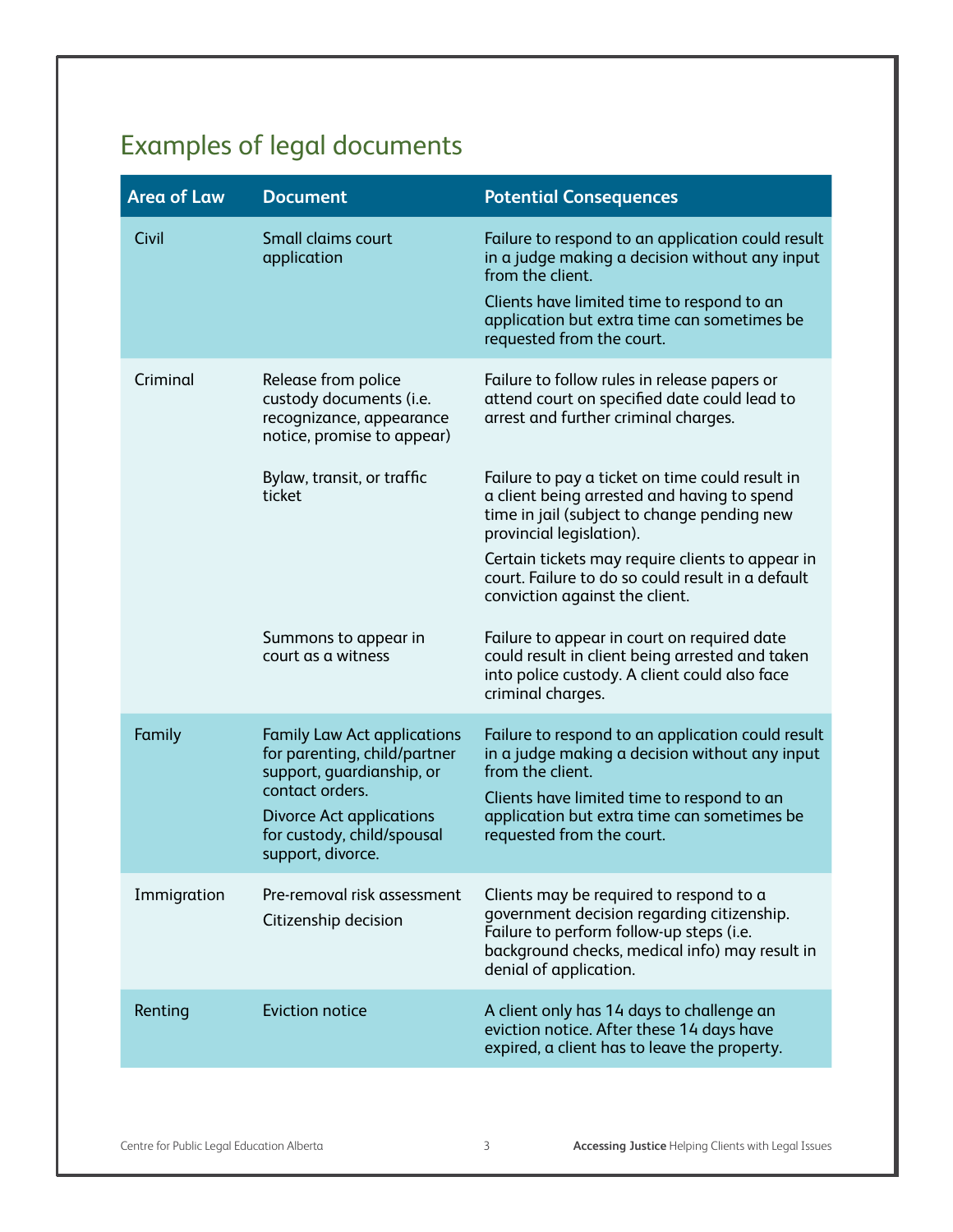# Examples of legal documents

| <b>Area of Law</b> | <b>Document</b>                                                                                                                                                                                          | <b>Potential Consequences</b>                                                                                                                                                                                                                                                                                        |
|--------------------|----------------------------------------------------------------------------------------------------------------------------------------------------------------------------------------------------------|----------------------------------------------------------------------------------------------------------------------------------------------------------------------------------------------------------------------------------------------------------------------------------------------------------------------|
| Civil              | Small claims court<br>application                                                                                                                                                                        | Failure to respond to an application could result<br>in a judge making a decision without any input<br>from the client.<br>Clients have limited time to respond to an<br>application but extra time can sometimes be<br>requested from the court.                                                                    |
| Criminal           | Release from police<br>custody documents (i.e.<br>recognizance, appearance<br>notice, promise to appear)                                                                                                 | Failure to follow rules in release papers or<br>attend court on specified date could lead to<br>arrest and further criminal charges.                                                                                                                                                                                 |
|                    | Bylaw, transit, or traffic<br>ticket                                                                                                                                                                     | Failure to pay a ticket on time could result in<br>a client being arrested and having to spend<br>time in jail (subject to change pending new<br>provincial legislation).<br>Certain tickets may require clients to appear in<br>court. Failure to do so could result in a default<br>conviction against the client. |
|                    | Summons to appear in<br>court as a witness                                                                                                                                                               | Failure to appear in court on required date<br>could result in client being arrested and taken<br>into police custody. A client could also face<br>criminal charges.                                                                                                                                                 |
| Family             | <b>Family Law Act applications</b><br>for parenting, child/partner<br>support, guardianship, or<br>contact orders.<br><b>Divorce Act applications</b><br>for custody, child/spousal<br>support, divorce. | Failure to respond to an application could result<br>in a judge making a decision without any input<br>from the client.<br>Clients have limited time to respond to an<br>application but extra time can sometimes be<br>requested from the court.                                                                    |
| Immigration        | Pre-removal risk assessment<br>Citizenship decision                                                                                                                                                      | Clients may be required to respond to a<br>government decision regarding citizenship.<br>Failure to perform follow-up steps (i.e.<br>background checks, medical info) may result in<br>denial of application.                                                                                                        |
| Renting            | <b>Eviction notice</b>                                                                                                                                                                                   | A client only has 14 days to challenge an<br>eviction notice. After these 14 days have<br>expired, a client has to leave the property.                                                                                                                                                                               |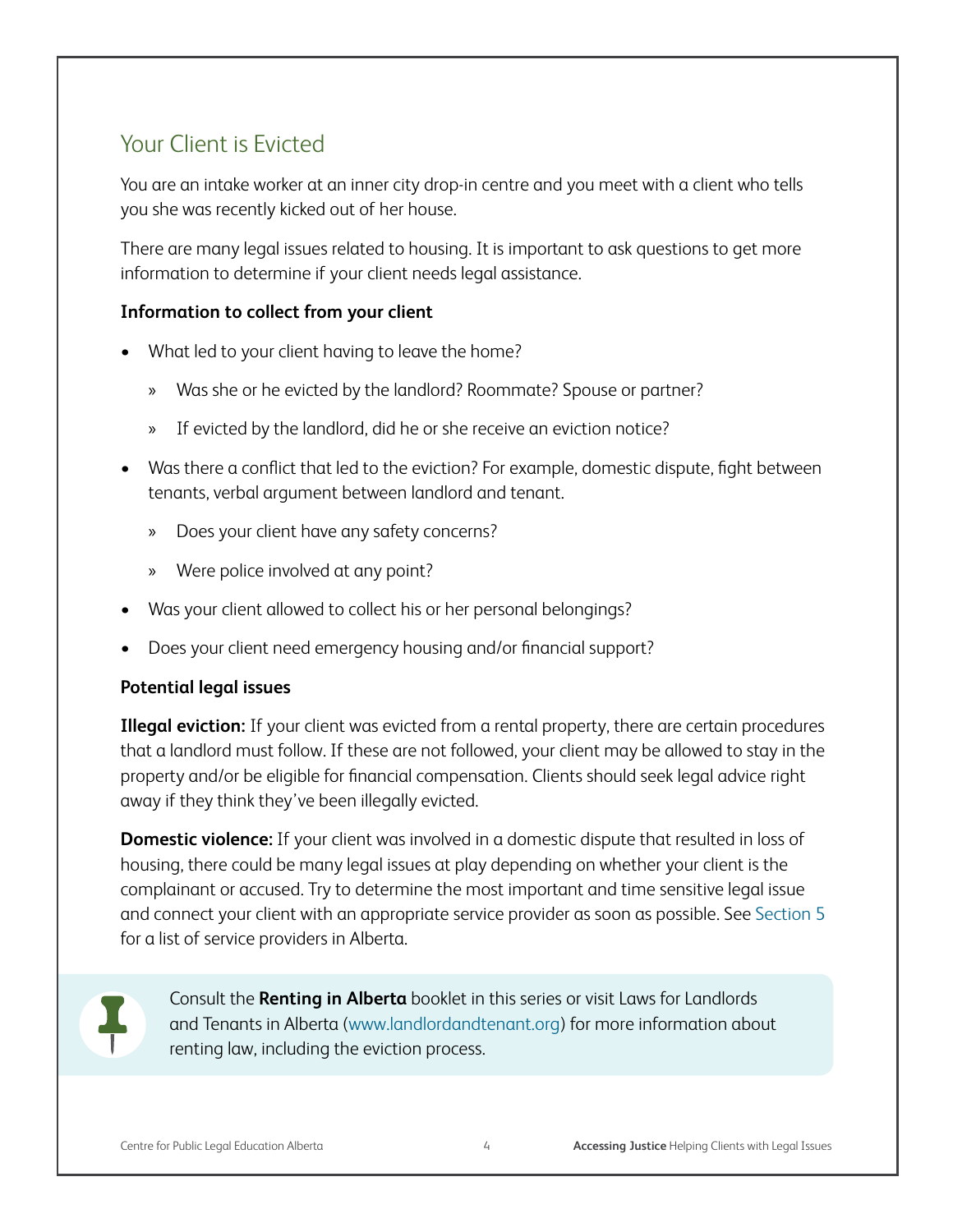#### Your Client is Evicted

You are an intake worker at an inner city drop-in centre and you meet with a client who tells you she was recently kicked out of her house.

There are many legal issues related to housing. It is important to ask questions to get more information to determine if your client needs legal assistance.

#### **Information to collect from your client**

- What led to your client having to leave the home?
	- » Was she or he evicted by the landlord? Roommate? Spouse or partner?
	- » If evicted by the landlord, did he or she receive an eviction notice?
- Was there a conflict that led to the eviction? For example, domestic dispute, fight between tenants, verbal argument between landlord and tenant.
	- » Does your client have any safety concerns?
	- » Were police involved at any point?
- Was your client allowed to collect his or her personal belongings?
- Does your client need emergency housing and/or financial support?

#### **Potential legal issues**

**Illegal eviction:** If your client was evicted from a rental property, there are certain procedures that a landlord must follow. If these are not followed, your client may be allowed to stay in the property and/or be eligible for financial compensation. Clients should seek legal advice right away if they think they've been illegally evicted.

**Domestic violence:** If your client was involved in a domestic dispute that resulted in loss of housing, there could be many legal issues at play depending on whether your client is the complainant or accused. Try to determine the most important and time sensitive legal issue and connect your client with an appropriate service provider as soon as possible. See Section 5 for a list of service providers in Alberta.



Consult the **Renting in Alberta** booklet in this series or visit Laws for Landlords and Tenants in Alberta (www.landlordandtenant.org) for more information about renting law, including the eviction process.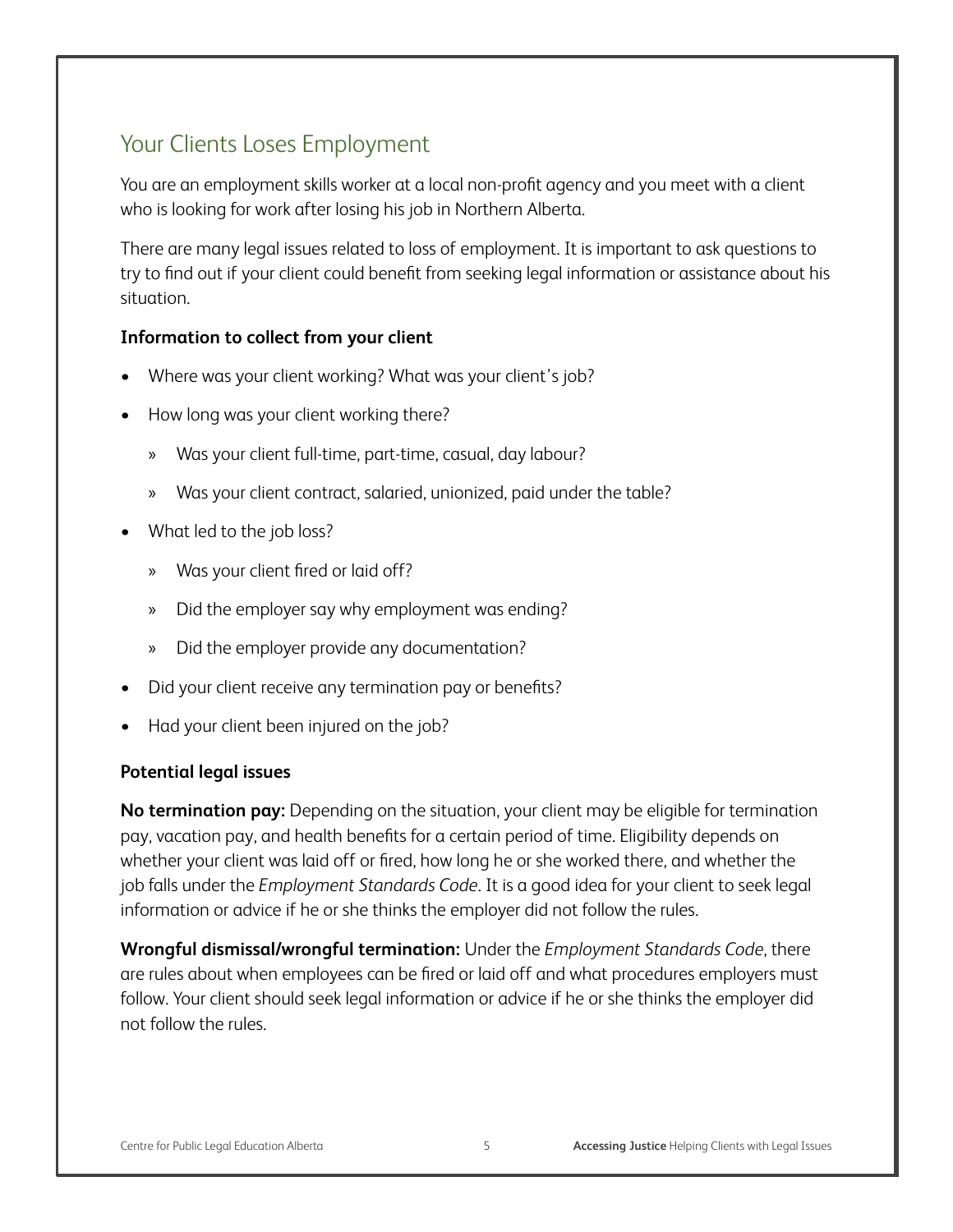### Your Clients Loses Employment

You are an employment skills worker at a local non-profit agency and you meet with a client who is looking for work after losing his job in Northern Alberta.

There are many legal issues related to loss of employment. It is important to ask questions to try to find out if your client could benefit from seeking legal information or assistance about his situation.

#### **Information to collect from your client**

- Where was your client working? What was your client's job?
- How long was your client working there?
	- » Was your client full-time, part-time, casual, day labour?
	- » Was your client contract, salaried, unionized, paid under the table?
- What led to the job loss?
	- » Was your client fired or laid off?
	- » Did the employer say why employment was ending?
	- » Did the employer provide any documentation?
- Did your client receive any termination pay or benefits?
- Had your client been injured on the job?

#### **Potential legal issues**

**No termination pay:** Depending on the situation, your client may be eligible for termination pay, vacation pay, and health benefits for a certain period of time. Eligibility depends on whether your client was laid off or fired, how long he or she worked there, and whether the job falls under the *Employment Standards Code*. It is a good idea for your client to seek legal information or advice if he or she thinks the employer did not follow the rules.

**Wrongful dismissal/wrongful termination:** Under the *Employment Standards Code*, there are rules about when employees can be fired or laid off and what procedures employers must follow. Your client should seek legal information or advice if he or she thinks the employer did not follow the rules.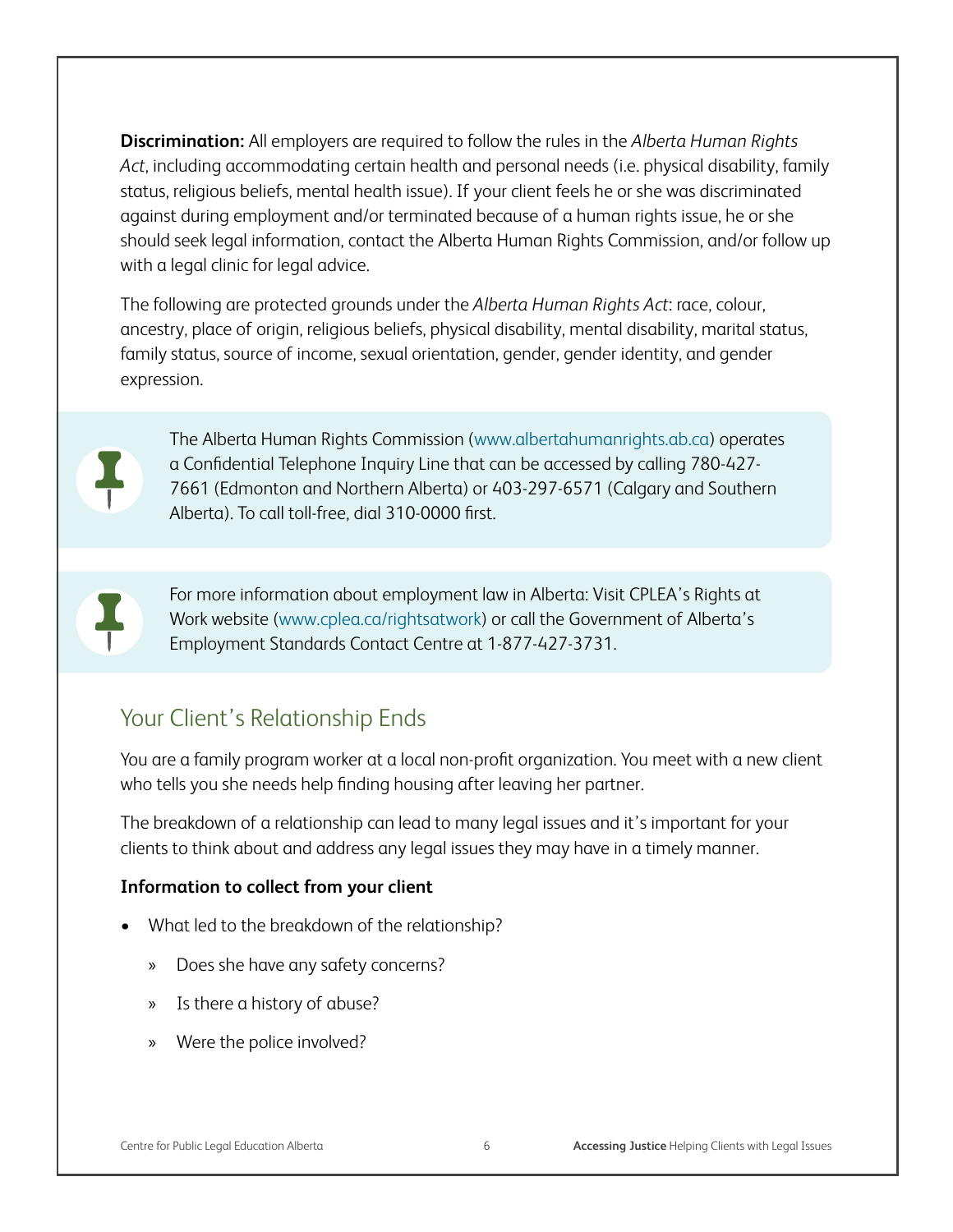**Discrimination:** All employers are required to follow the rules in the *Alberta Human Rights Act*, including accommodating certain health and personal needs (i.e. physical disability, family status, religious beliefs, mental health issue). If your client feels he or she was discriminated against during employment and/or terminated because of a human rights issue, he or she should seek legal information, contact the Alberta Human Rights Commission, and/or follow up with a legal clinic for legal advice.

The following are protected grounds under the *Alberta Human Rights Act*: race, colour, ancestry, place of origin, religious beliefs, physical disability, mental disability, marital status, family status, source of income, sexual orientation, gender, gender identity, and gender expression.



The Alberta Human Rights Commission (www.albertahumanrights.ab.ca) operates a Confidential Telephone Inquiry Line that can be accessed by calling 780-427- 7661 (Edmonton and Northern Alberta) or 403-297-6571 (Calgary and Southern Alberta). To call toll-free, dial 310-0000 first.



For more information about employment law in Alberta: Visit CPLEA's Rights at Work website (www.cplea.ca/rightsatwork) or call the Government of Alberta's Employment Standards Contact Centre at 1-877-427-3731.

#### Your Client's Relationship Ends

You are a family program worker at a local non-profit organization. You meet with a new client who tells you she needs help finding housing after leaving her partner.

The breakdown of a relationship can lead to many legal issues and it's important for your clients to think about and address any legal issues they may have in a timely manner.

#### **Information to collect from your client**

- What led to the breakdown of the relationship?
	- » Does she have any safety concerns?
	- » Is there a history of abuse?
	- » Were the police involved?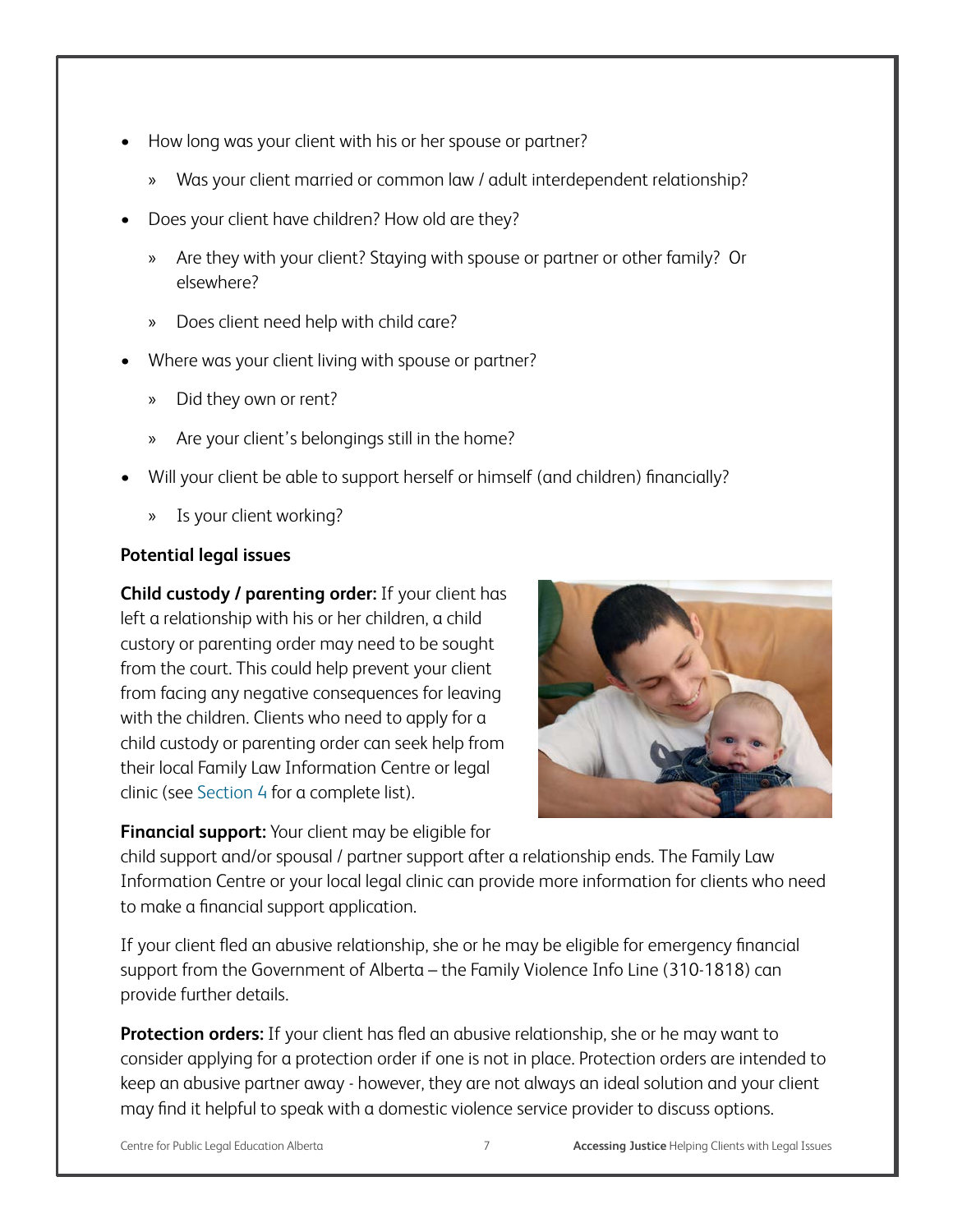- How long was your client with his or her spouse or partner?
	- » Was your client married or common law / adult interdependent relationship?
- Does your client have children? How old are they?
	- » Are they with your client? Staying with spouse or partner or other family? Or elsewhere?
	- » Does client need help with child care?
- Where was your client living with spouse or partner?
	- » Did they own or rent?
	- » Are your client's belongings still in the home?
- Will your client be able to support herself or himself (and children) financially?
	- » Is your client working?

#### **Potential legal issues**

**Child custody / parenting order:** If your client has left a relationship with his or her children, a child custory or parenting order may need to be sought from the court. This could help prevent your client from facing any negative consequences for leaving with the children. Clients who need to apply for a child custody or parenting order can seek help from their local Family Law Information Centre or legal clinic (see Section 4 for a complete list).



**Financial support:** Your client may be eligible for

child support and/or spousal / partner support after a relationship ends. The Family Law Information Centre or your local legal clinic can provide more information for clients who need to make a financial support application.

If your client fled an abusive relationship, she or he may be eligible for emergency financial support from the Government of Alberta – the Family Violence Info Line (310-1818) can provide further details.

**Protection orders:** If your client has fled an abusive relationship, she or he may want to consider applying for a protection order if one is not in place. Protection orders are intended to keep an abusive partner away - however, they are not always an ideal solution and your client may find it helpful to speak with a domestic violence service provider to discuss options.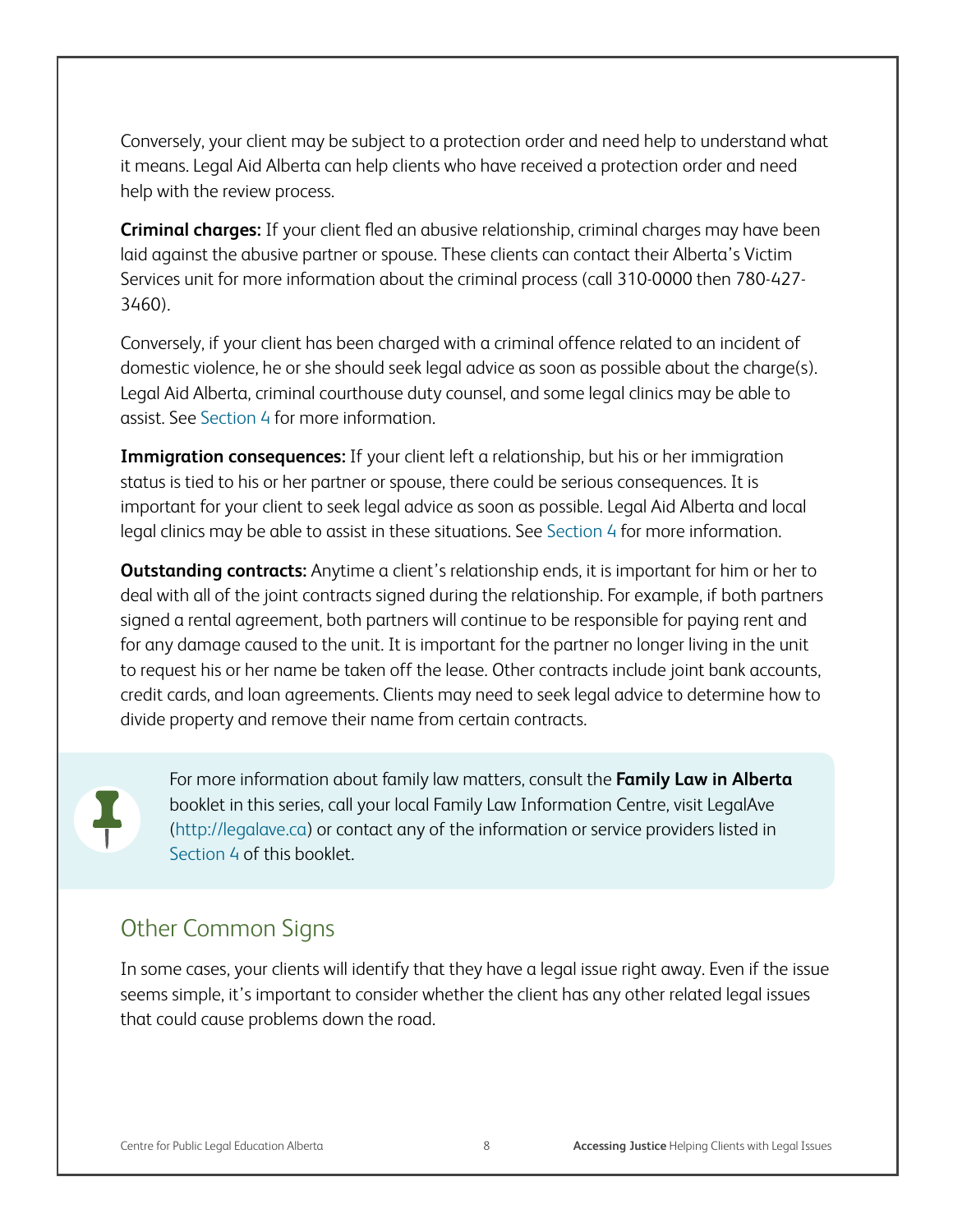Conversely, your client may be subject to a protection order and need help to understand what it means. Legal Aid Alberta can help clients who have received a protection order and need help with the review process.

**Criminal charges:** If your client fled an abusive relationship, criminal charges may have been laid against the abusive partner or spouse. These clients can contact their Alberta's Victim Services unit for more information about the criminal process (call 310-0000 then 780-427- 3460).

Conversely, if your client has been charged with a criminal offence related to an incident of domestic violence, he or she should seek legal advice as soon as possible about the charge(s). Legal Aid Alberta, criminal courthouse duty counsel, and some legal clinics may be able to assist. See Section 4 for more information.

**Immigration consequences:** If your client left a relationship, but his or her immigration status is tied to his or her partner or spouse, there could be serious consequences. It is important for your client to seek legal advice as soon as possible. Legal Aid Alberta and local legal clinics may be able to assist in these situations. See Section 4 for more information.

**Outstanding contracts:** Anytime a client's relationship ends, it is important for him or her to deal with all of the joint contracts signed during the relationship. For example, if both partners signed a rental agreement, both partners will continue to be responsible for paying rent and for any damage caused to the unit. It is important for the partner no longer living in the unit to request his or her name be taken off the lease. Other contracts include joint bank accounts, credit cards, and loan agreements. Clients may need to seek legal advice to determine how to divide property and remove their name from certain contracts.

For more information about family law matters, consult the **Family Law in Alberta**  booklet in this series, call your local Family Law Information Centre, visit LegalAve (http://legalave.ca) or contact any of the information or service providers listed in Section 4 of this booklet.

#### Other Common Signs

In some cases, your clients will identify that they have a legal issue right away. Even if the issue seems simple, it's important to consider whether the client has any other related legal issues that could cause problems down the road.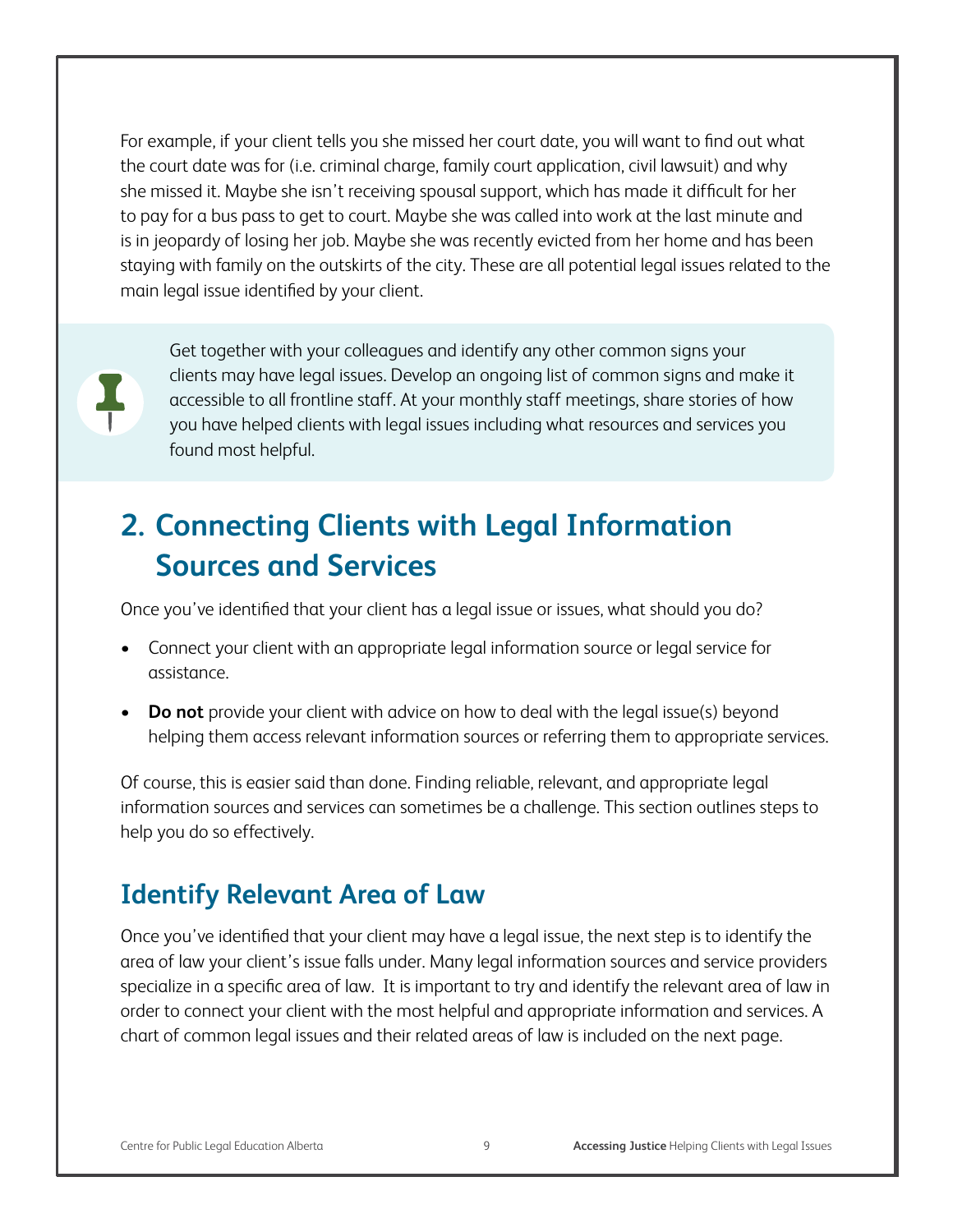For example, if your client tells you she missed her court date, you will want to find out what the court date was for (i.e. criminal charge, family court application, civil lawsuit) and why she missed it. Maybe she isn't receiving spousal support, which has made it difficult for her to pay for a bus pass to get to court. Maybe she was called into work at the last minute and is in jeopardy of losing her job. Maybe she was recently evicted from her home and has been staying with family on the outskirts of the city. These are all potential legal issues related to the main legal issue identified by your client.



Get together with your colleagues and identify any other common signs your clients may have legal issues. Develop an ongoing list of common signs and make it accessible to all frontline staff. At your monthly staff meetings, share stories of how you have helped clients with legal issues including what resources and services you found most helpful.

# **2. Connecting Clients with Legal Information Sources and Services**

Once you've identified that your client has a legal issue or issues, what should you do?

- Connect your client with an appropriate legal information source or legal service for assistance.
- **Do not** provide your client with advice on how to deal with the legal issue(s) beyond helping them access relevant information sources or referring them to appropriate services.

Of course, this is easier said than done. Finding reliable, relevant, and appropriate legal information sources and services can sometimes be a challenge. This section outlines steps to help you do so effectively.

## **Identify Relevant Area of Law**

Once you've identified that your client may have a legal issue, the next step is to identify the area of law your client's issue falls under. Many legal information sources and service providers specialize in a specific area of law. It is important to try and identify the relevant area of law in order to connect your client with the most helpful and appropriate information and services. A chart of common legal issues and their related areas of law is included on the next page.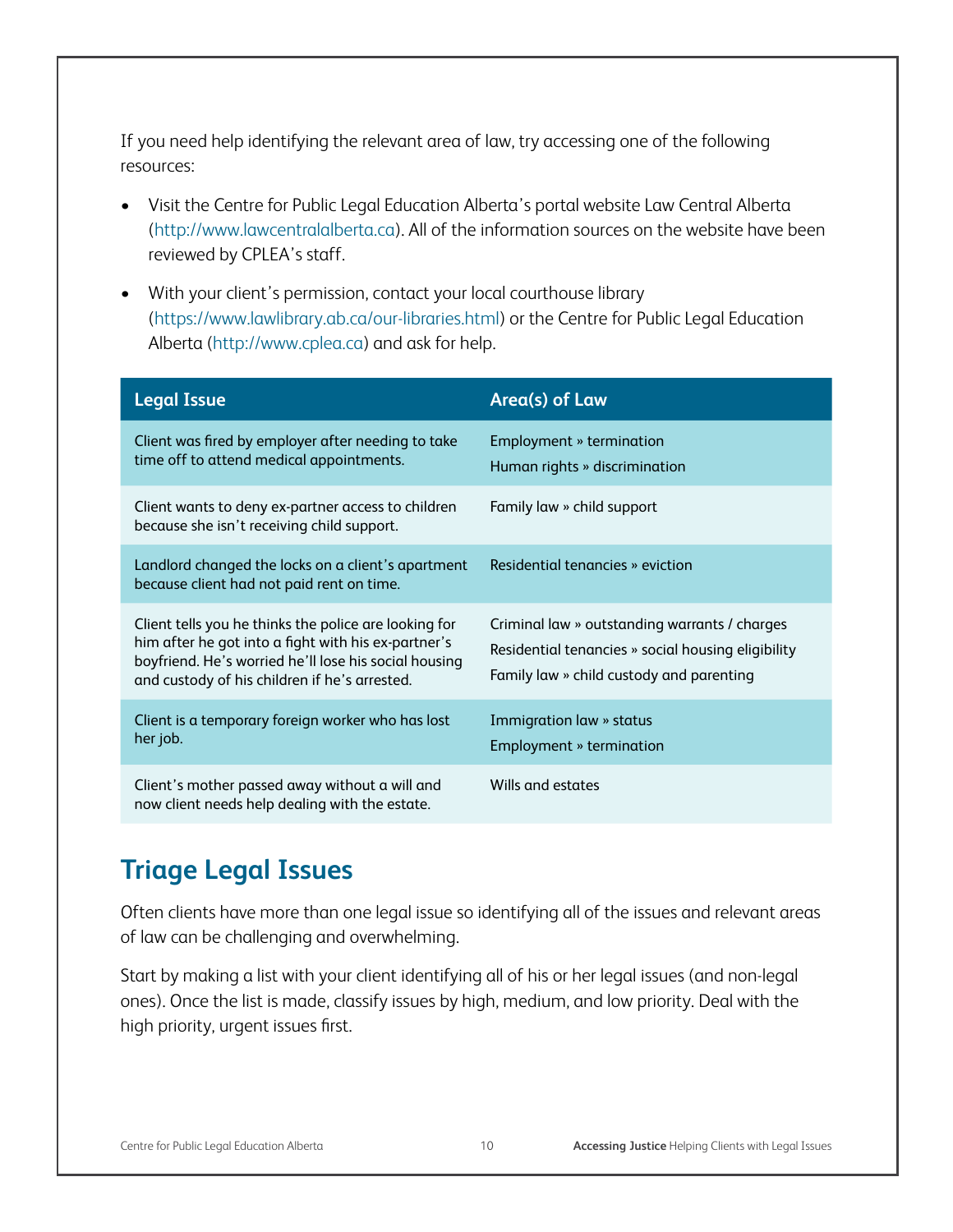If you need help identifying the relevant area of law, try accessing one of the following resources:

- Visit the Centre for Public Legal Education Alberta's portal website Law Central Alberta (http://www.lawcentralalberta.ca). All of the information sources on the website have been reviewed by CPLEA's staff.
- With your client's permission, contact your local courthouse library (https://www.lawlibrary.ab.ca/our-libraries.html) or the Centre for Public Legal Education Alberta (http://www.cplea.ca) and ask for help.

| <b>Legal Issue</b>                                                                                                                                                                                                     | Area(s) of Law                                                                                                                                  |
|------------------------------------------------------------------------------------------------------------------------------------------------------------------------------------------------------------------------|-------------------------------------------------------------------------------------------------------------------------------------------------|
| Client was fired by employer after needing to take<br>time off to attend medical appointments.                                                                                                                         | Employment » termination<br>Human rights » discrimination                                                                                       |
| Client wants to deny ex-partner access to children<br>because she isn't receiving child support.                                                                                                                       | Family law » child support                                                                                                                      |
| Landlord changed the locks on a client's apartment<br>because client had not paid rent on time.                                                                                                                        | Residential tenancies » eviction                                                                                                                |
| Client tells you he thinks the police are looking for<br>him after he got into a fight with his ex-partner's<br>boyfriend. He's worried he'll lose his social housing<br>and custody of his children if he's arrested. | Criminal law » outstanding warrants / charges<br>Residential tenancies » social housing eligibility<br>Family law » child custody and parenting |
| Client is a temporary foreign worker who has lost<br>her job.                                                                                                                                                          | Immigration law » status<br>Employment » termination                                                                                            |
| Client's mother passed away without a will and<br>now client needs help dealing with the estate.                                                                                                                       | Wills and estates                                                                                                                               |

## **Triage Legal Issues**

Often clients have more than one legal issue so identifying all of the issues and relevant areas of law can be challenging and overwhelming.

Start by making a list with your client identifying all of his or her legal issues (and non-legal ones). Once the list is made, classify issues by high, medium, and low priority. Deal with the high priority, urgent issues first.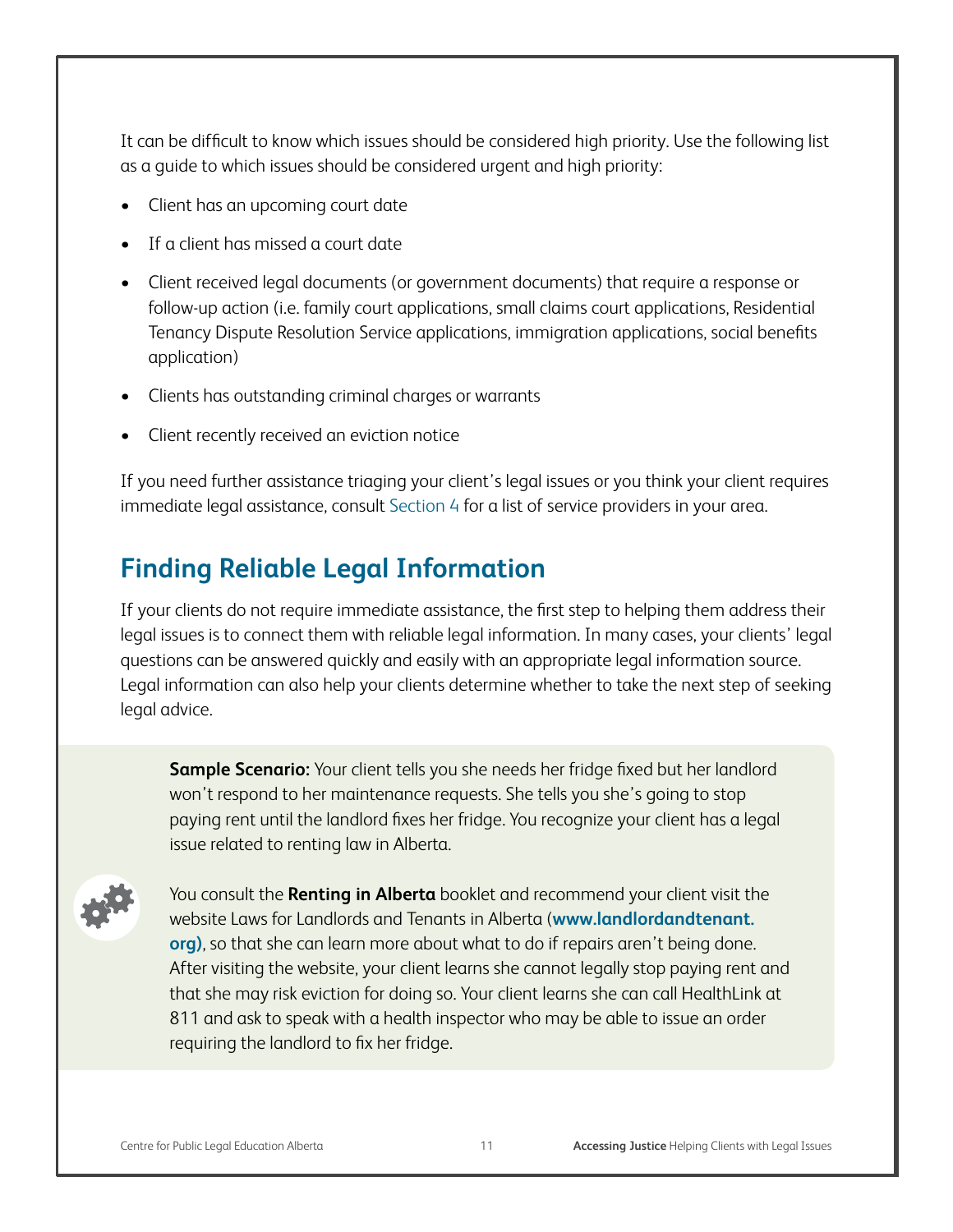It can be difficult to know which issues should be considered high priority. Use the following list as a guide to which issues should be considered urgent and high priority:

- Client has an upcoming court date
- • If a client has missed a court date
- Client received legal documents (or government documents) that require a response or follow-up action (i.e. family court applications, small claims court applications, Residential Tenancy Dispute Resolution Service applications, immigration applications, social benefits application)
- Clients has outstanding criminal charges or warrants
- Client recently received an eviction notice

If you need further assistance triaging your client's legal issues or you think your client requires immediate legal assistance, consult Section 4 for a list of service providers in your area.

# **Finding Reliable Legal Information**

If your clients do not require immediate assistance, the first step to helping them address their legal issues is to connect them with reliable legal information. In many cases, your clients' legal questions can be answered quickly and easily with an appropriate legal information source. Legal information can also help your clients determine whether to take the next step of seeking legal advice.

**Sample Scenario:** Your client tells you she needs her fridge fixed but her landlord won't respond to her maintenance requests. She tells you she's going to stop paying rent until the landlord fixes her fridge. You recognize your client has a legal issue related to renting law in Alberta.



You consult the **Renting in Alberta** booklet and recommend your client visit the website Laws for Landlords and Tenants in Alberta (**www.landlordandtenant. org)**, so that she can learn more about what to do if repairs aren't being done. After visiting the website, your client learns she cannot legally stop paying rent and that she may risk eviction for doing so. Your client learns she can call HealthLink at 811 and ask to speak with a health inspector who may be able to issue an order requiring the landlord to fix her fridge.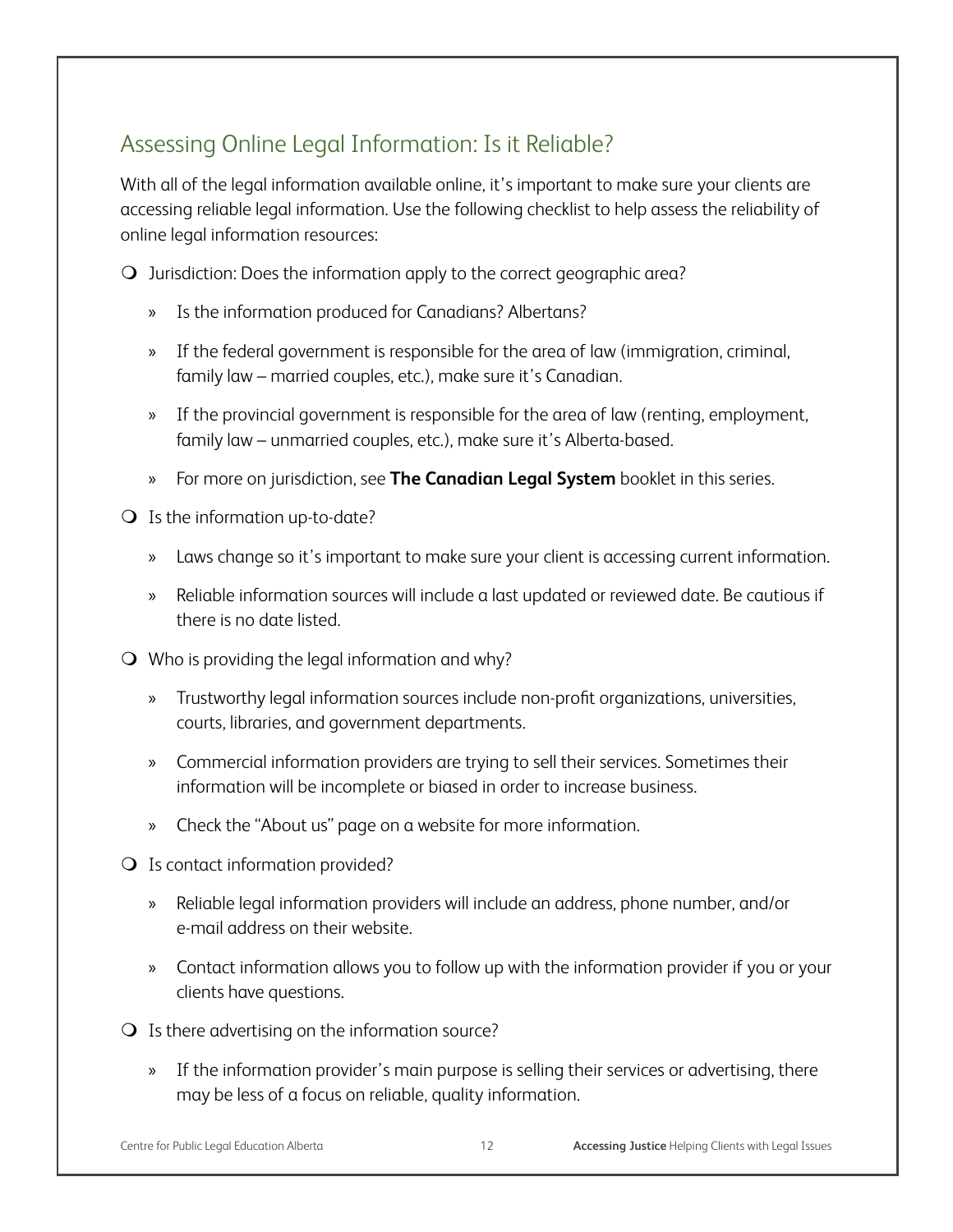## Assessing Online Legal Information: Is it Reliable?

With all of the legal information available online, it's important to make sure your clients are accessing reliable legal information. Use the following checklist to help assess the reliability of online legal information resources:

 $\Omega$  Jurisdiction: Does the information apply to the correct geographic area?

- » Is the information produced for Canadians? Albertans?
- » If the federal government is responsible for the area of law (immigration, criminal, family law – married couples, etc.), make sure it's Canadian.
- » If the provincial government is responsible for the area of law (renting, employment, family law – unmarried couples, etc.), make sure it's Alberta-based.
- » For more on jurisdiction, see **The Canadian Legal System** booklet in this series.
- Is the information up-to-date?
	- » Laws change so it's important to make sure your client is accessing current information.
	- » Reliable information sources will include a last updated or reviewed date. Be cautious if there is no date listed.
- Who is providing the legal information and why?
	- » Trustworthy legal information sources include non-profit organizations, universities, courts, libraries, and government departments.
	- » Commercial information providers are trying to sell their services. Sometimes their information will be incomplete or biased in order to increase business.
	- » Check the "About us" page on a website for more information.
- O Is contact information provided?
	- » Reliable legal information providers will include an address, phone number, and/or e-mail address on their website.
	- » Contact information allows you to follow up with the information provider if you or your clients have questions.
- $\Omega$  Is there advertising on the information source?
	- » If the information provider's main purpose is selling their services or advertising, there may be less of a focus on reliable, quality information.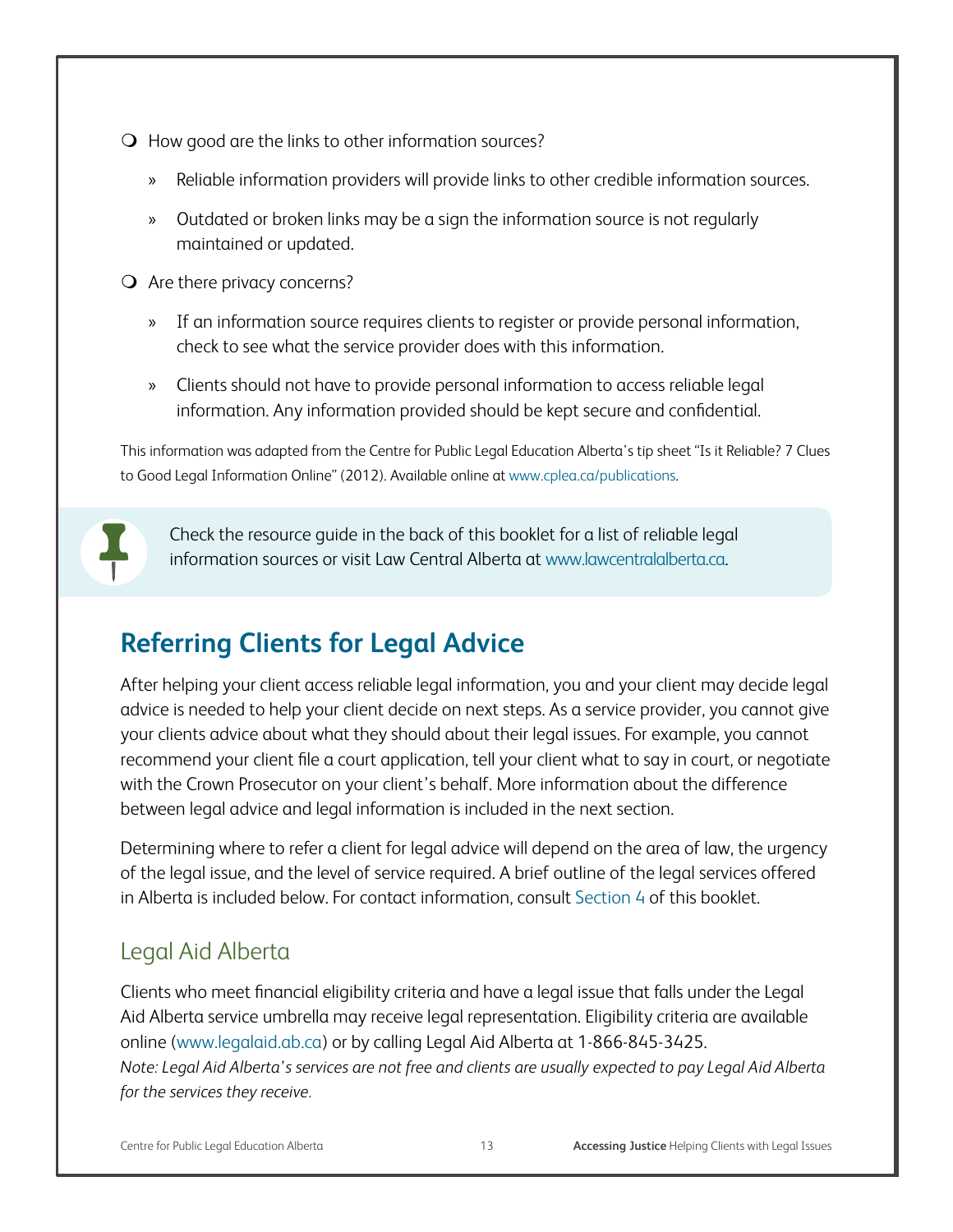- $\bigcirc$  How good are the links to other information sources?
	- » Reliable information providers will provide links to other credible information sources.
	- » Outdated or broken links may be a sign the information source is not regularly maintained or updated.
- Are there privacy concerns?
	- » If an information source requires clients to register or provide personal information, check to see what the service provider does with this information.
	- » Clients should not have to provide personal information to access reliable legal information. Any information provided should be kept secure and confidential.

This information was adapted from the Centre for Public Legal Education Alberta's tip sheet "Is it Reliable? 7 Clues to Good Legal Information Online" (2012). Available online at www.cplea.ca/publications.



Check the resource guide in the back of this booklet for a list of reliable legal information sources or visit Law Central Alberta at www.lawcentralalberta.ca.

# **Referring Clients for Legal Advice**

After helping your client access reliable legal information, you and your client may decide legal advice is needed to help your client decide on next steps. As a service provider, you cannot give your clients advice about what they should about their legal issues. For example, you cannot recommend your client file a court application, tell your client what to say in court, or negotiate with the Crown Prosecutor on your client's behalf. More information about the difference between legal advice and legal information is included in the next section.

Determining where to refer a client for legal advice will depend on the area of law, the urgency of the legal issue, and the level of service required. A brief outline of the legal services offered in Alberta is included below. For contact information, consult Section 4 of this booklet.

## Legal Aid Alberta

Clients who meet financial eligibility criteria and have a legal issue that falls under the Legal Aid Alberta service umbrella may receive legal representation. Eligibility criteria are available online (www.legalaid.ab.ca) or by calling Legal Aid Alberta at 1-866-845-3425.

*Note: Legal Aid Alberta's services are not free and clients are usually expected to pay Legal Aid Alberta for the services they receive.*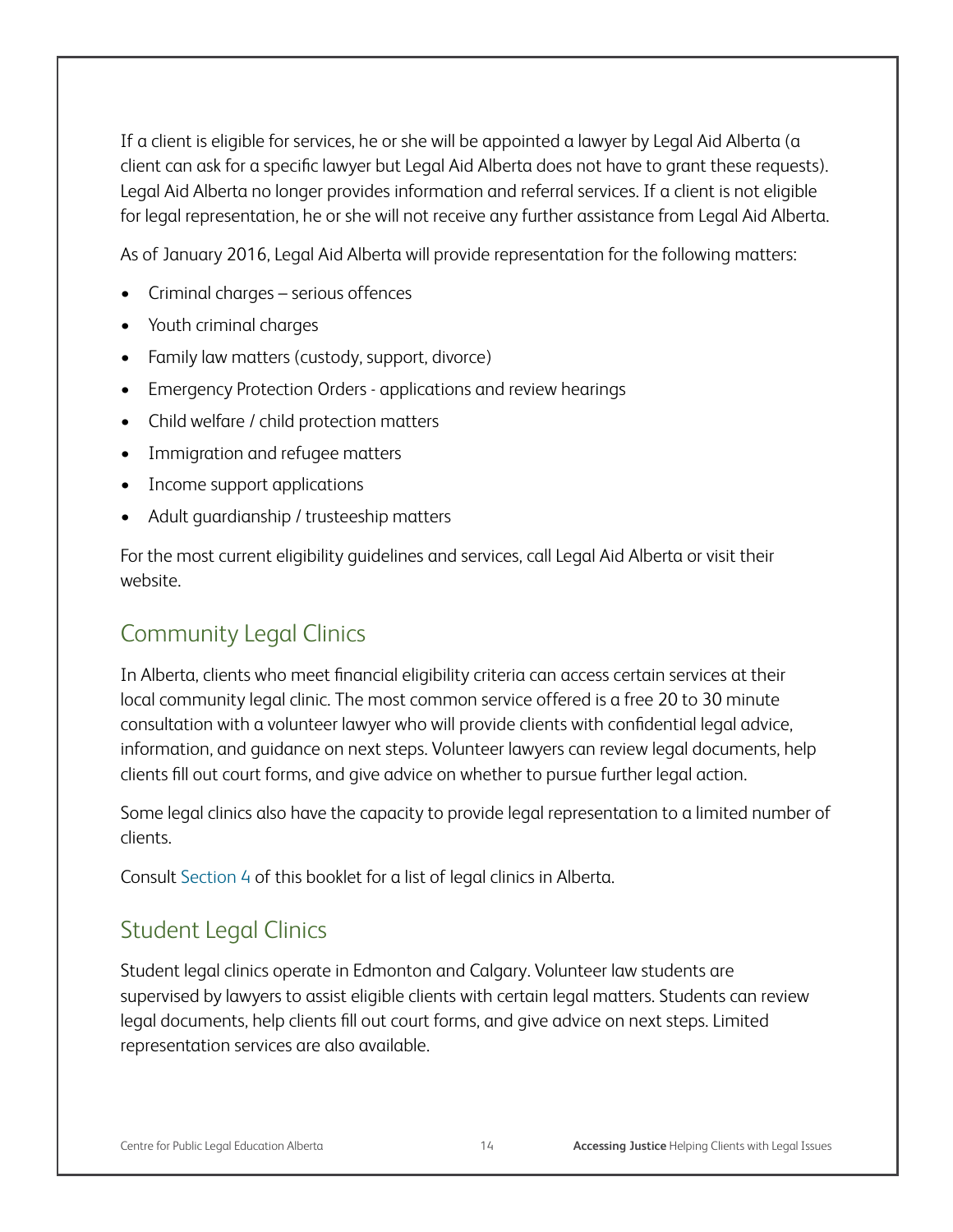If a client is eligible for services, he or she will be appointed a lawyer by Legal Aid Alberta (a client can ask for a specific lawyer but Legal Aid Alberta does not have to grant these requests). Legal Aid Alberta no longer provides information and referral services. If a client is not eligible for legal representation, he or she will not receive any further assistance from Legal Aid Alberta.

As of January 2016, Legal Aid Alberta will provide representation for the following matters:

- • Criminal charges serious offences
- • Youth criminal charges
- Family law matters (custody, support, divorce)
- Emergency Protection Orders applications and review hearings
- Child welfare / child protection matters
- • Immigration and refugee matters
- Income support applications
- Adult guardianship / trusteeship matters

For the most current eligibility guidelines and services, call Legal Aid Alberta or visit their website.

## Community Legal Clinics

In Alberta, clients who meet financial eligibility criteria can access certain services at their local community legal clinic. The most common service offered is a free 20 to 30 minute consultation with a volunteer lawyer who will provide clients with confidential legal advice, information, and guidance on next steps. Volunteer lawyers can review legal documents, help clients fill out court forms, and give advice on whether to pursue further legal action.

Some legal clinics also have the capacity to provide legal representation to a limited number of clients.

Consult Section 4 of this booklet for a list of legal clinics in Alberta.

#### Student Legal Clinics

Student legal clinics operate in Edmonton and Calgary. Volunteer law students are supervised by lawyers to assist eligible clients with certain legal matters. Students can review legal documents, help clients fill out court forms, and give advice on next steps. Limited representation services are also available.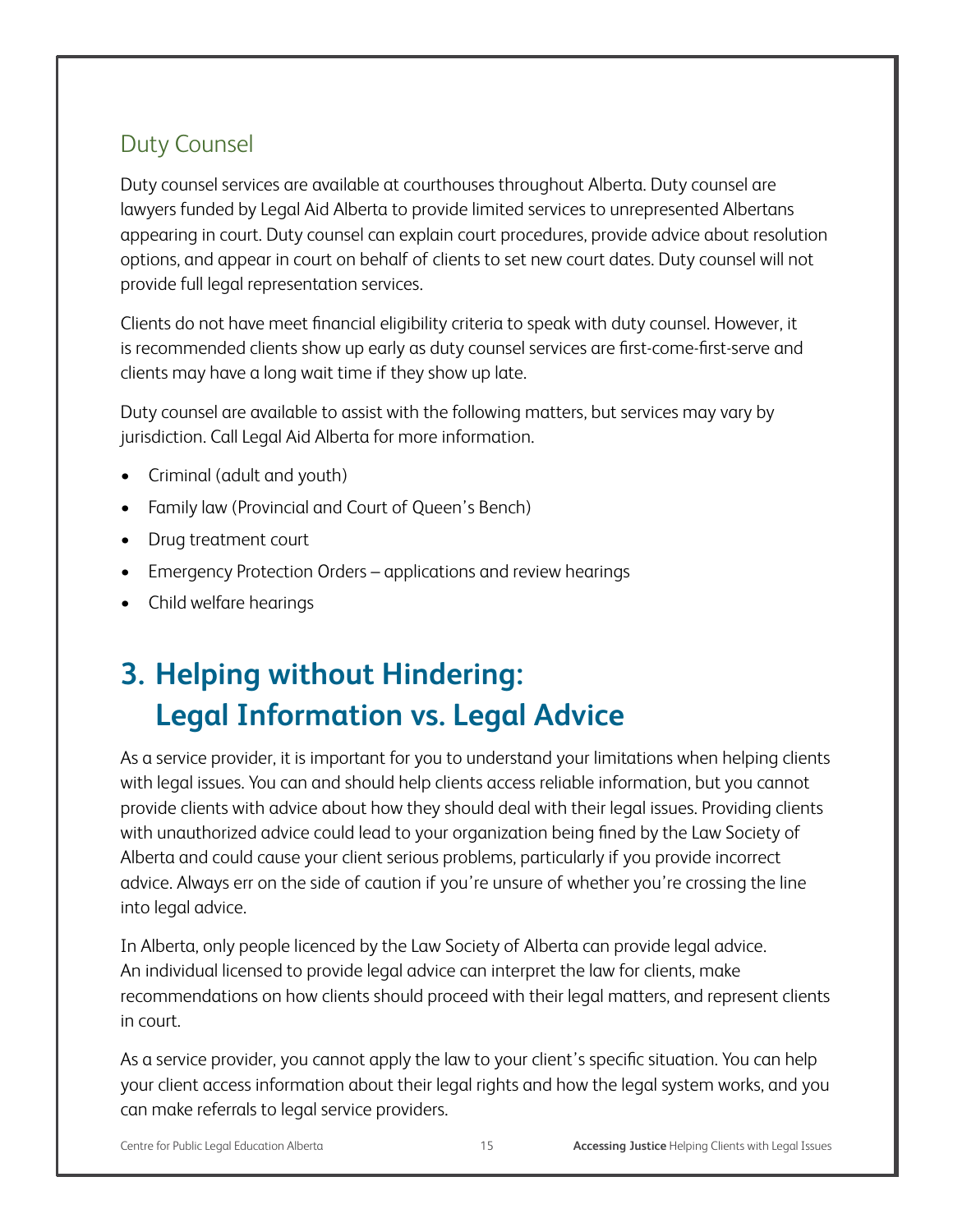## Duty Counsel

Duty counsel services are available at courthouses throughout Alberta. Duty counsel are lawyers funded by Legal Aid Alberta to provide limited services to unrepresented Albertans appearing in court. Duty counsel can explain court procedures, provide advice about resolution options, and appear in court on behalf of clients to set new court dates. Duty counsel will not provide full legal representation services.

Clients do not have meet financial eligibility criteria to speak with duty counsel. However, it is recommended clients show up early as duty counsel services are first-come-first-serve and clients may have a long wait time if they show up late.

Duty counsel are available to assist with the following matters, but services may vary by jurisdiction. Call Legal Aid Alberta for more information.

- Criminal (adult and youth)
- Family law (Provincial and Court of Queen's Bench)
- Drug treatment court
- Emergency Protection Orders applications and review hearings
- • Child welfare hearings

# **3. Helping without Hindering: Legal Information vs. Legal Advice**

As a service provider, it is important for you to understand your limitations when helping clients with legal issues. You can and should help clients access reliable information, but you cannot provide clients with advice about how they should deal with their legal issues. Providing clients with unauthorized advice could lead to your organization being fined by the Law Society of Alberta and could cause your client serious problems, particularly if you provide incorrect advice. Always err on the side of caution if you're unsure of whether you're crossing the line into legal advice.

In Alberta, only people licenced by the Law Society of Alberta can provide legal advice. An individual licensed to provide legal advice can interpret the law for clients, make recommendations on how clients should proceed with their legal matters, and represent clients in court.

As a service provider, you cannot apply the law to your client's specific situation. You can help your client access information about their legal rights and how the legal system works, and you can make referrals to legal service providers.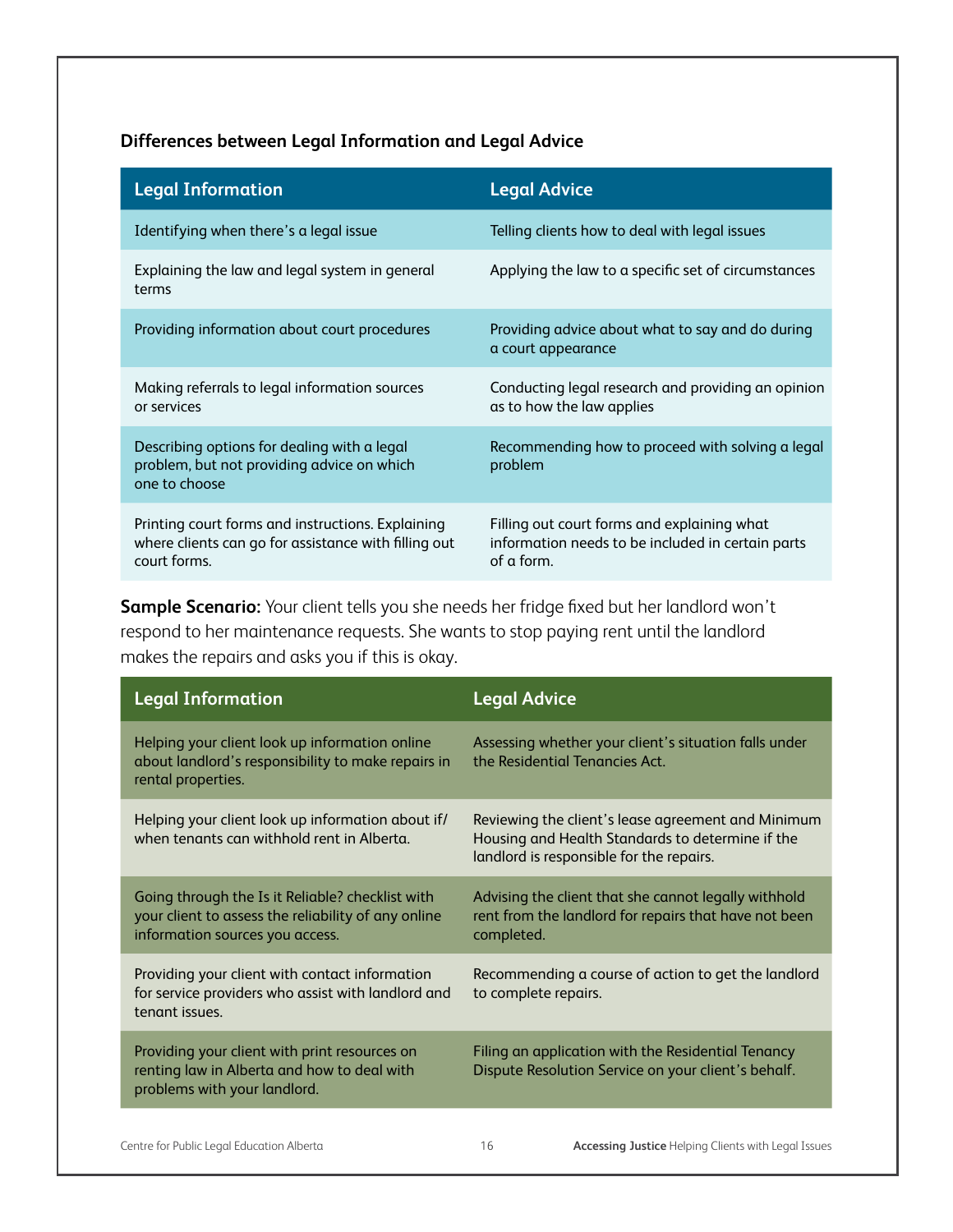#### **Differences between Legal Information and Legal Advice**

| <b>Legal Information</b>                                                                                                  | <b>Legal Advice</b>                                                                                            |
|---------------------------------------------------------------------------------------------------------------------------|----------------------------------------------------------------------------------------------------------------|
| Identifying when there's a legal issue                                                                                    | Telling clients how to deal with legal issues                                                                  |
| Explaining the law and legal system in general<br>terms                                                                   | Applying the law to a specific set of circumstances                                                            |
| Providing information about court procedures                                                                              | Providing advice about what to say and do during<br>a court appearance                                         |
| Making referrals to legal information sources<br>or services                                                              | Conducting legal research and providing an opinion<br>as to how the law applies                                |
| Describing options for dealing with a legal<br>problem, but not providing advice on which<br>one to choose                | Recommending how to proceed with solving a legal<br>problem                                                    |
| Printing court forms and instructions. Explaining<br>where clients can go for assistance with filling out<br>court forms. | Filling out court forms and explaining what<br>information needs to be included in certain parts<br>of a form. |

**Sample Scenario:** Your client tells you she needs her fridge fixed but her landlord won't respond to her maintenance requests. She wants to stop paying rent until the landlord makes the repairs and asks you if this is okay.

| <b>Legal Information</b>                                                                                                                   | <b>Legal Advice</b>                                                                                                                                |
|--------------------------------------------------------------------------------------------------------------------------------------------|----------------------------------------------------------------------------------------------------------------------------------------------------|
| Helping your client look up information online<br>about landlord's responsibility to make repairs in<br>rental properties.                 | Assessing whether your client's situation falls under<br>the Residential Tenancies Act.                                                            |
| Helping your client look up information about if/<br>when tenants can withhold rent in Alberta.                                            | Reviewing the client's lease agreement and Minimum<br>Housing and Health Standards to determine if the<br>landlord is responsible for the repairs. |
| Going through the Is it Reliable? checklist with<br>your client to assess the reliability of any online<br>information sources you access. | Advising the client that she cannot legally withhold<br>rent from the landlord for repairs that have not been<br>completed.                        |
| Providing your client with contact information<br>for service providers who assist with landlord and<br>tenant issues.                     | Recommending a course of action to get the landlord<br>to complete repairs.                                                                        |
| Providing your client with print resources on<br>renting law in Alberta and how to deal with<br>problems with your landlord.               | Filing an application with the Residential Tenancy<br>Dispute Resolution Service on your client's behalf.                                          |
|                                                                                                                                            |                                                                                                                                                    |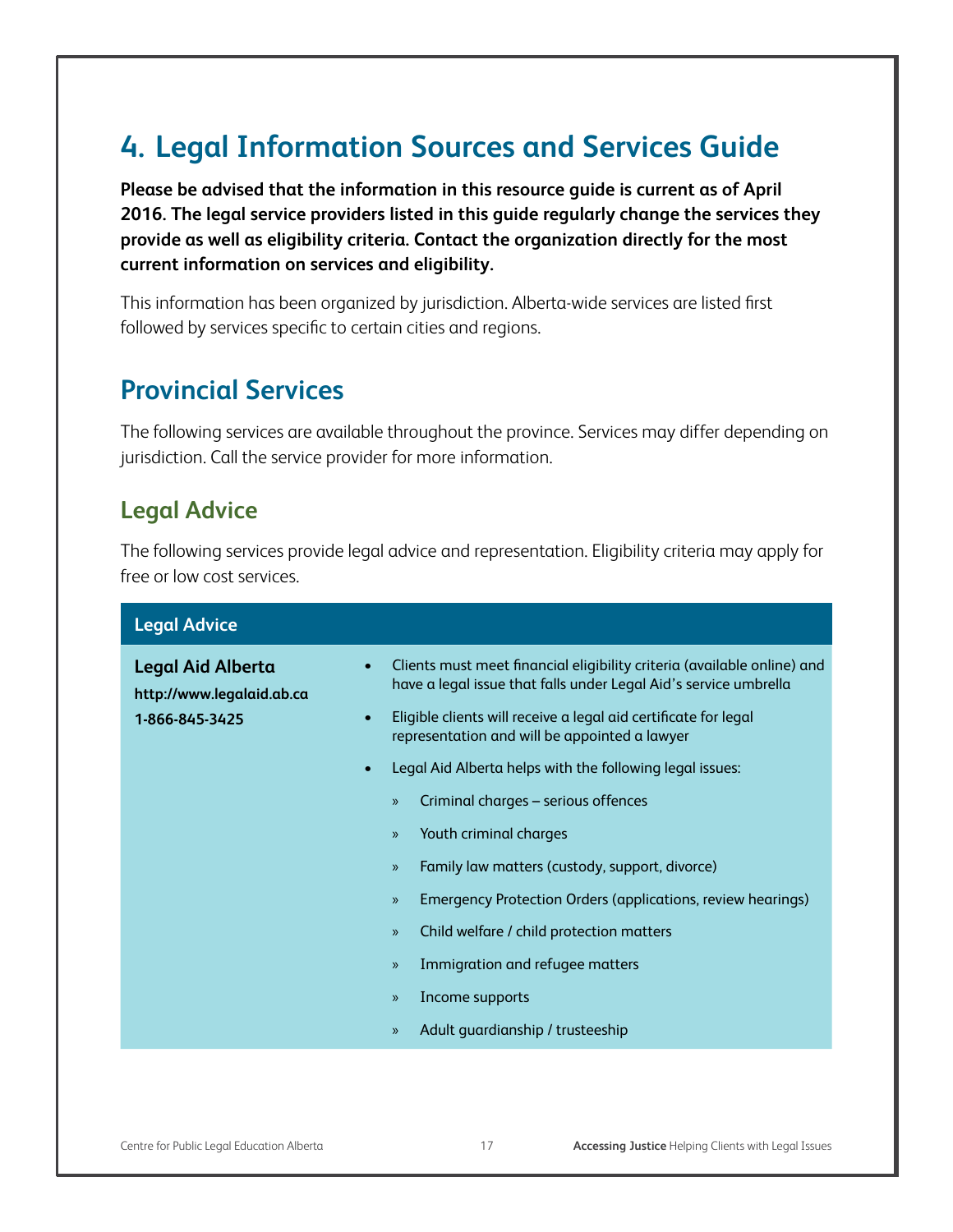# **4. Legal Information Sources and Services Guide**

**Please be advised that the information in this resource guide is current as of April 2016. The legal service providers listed in this guide regularly change the services they provide as well as eligibility criteria. Contact the organization directly for the most current information on services and eligibility.** 

This information has been organized by jurisdiction. Alberta-wide services are listed first followed by services specific to certain cities and regions.

## **Provincial Services**

The following services are available throughout the province. Services may differ depending on jurisdiction. Call the service provider for more information.

#### **Legal Advice**

The following services provide legal advice and representation. Eligibility criteria may apply for free or low cost services.

| <b>Legal Advice</b>                                   |                                                                                                                                             |
|-------------------------------------------------------|---------------------------------------------------------------------------------------------------------------------------------------------|
| <b>Legal Aid Alberta</b><br>http://www.legalaid.ab.ca | Clients must meet financial eligibility criteria (available online) and<br>have a legal issue that falls under Legal Aid's service umbrella |
| 1-866-845-3425                                        | Eligible clients will receive a legal aid certificate for legal<br>$\bullet$<br>representation and will be appointed a lawyer               |
|                                                       | Legal Aid Alberta helps with the following legal issues:<br>$\bullet$                                                                       |
|                                                       | Criminal charges - serious offences<br>$\mathcal{P}$                                                                                        |
|                                                       | Youth criminal charges<br>$\mathcal{P}$                                                                                                     |
|                                                       | Family law matters (custody, support, divorce)<br>$\mathcal{P}$                                                                             |
|                                                       | Emergency Protection Orders (applications, review hearings)<br>$\mathcal{P}$                                                                |
|                                                       | Child welfare / child protection matters<br>$\rangle\!\rangle$                                                                              |
|                                                       | Immigration and refugee matters<br>$\rangle\!\rangle$                                                                                       |
|                                                       | Income supports<br>$\mathcal{P}$                                                                                                            |
|                                                       | Adult quardianship / trusteeship<br>$\rangle\!\rangle$                                                                                      |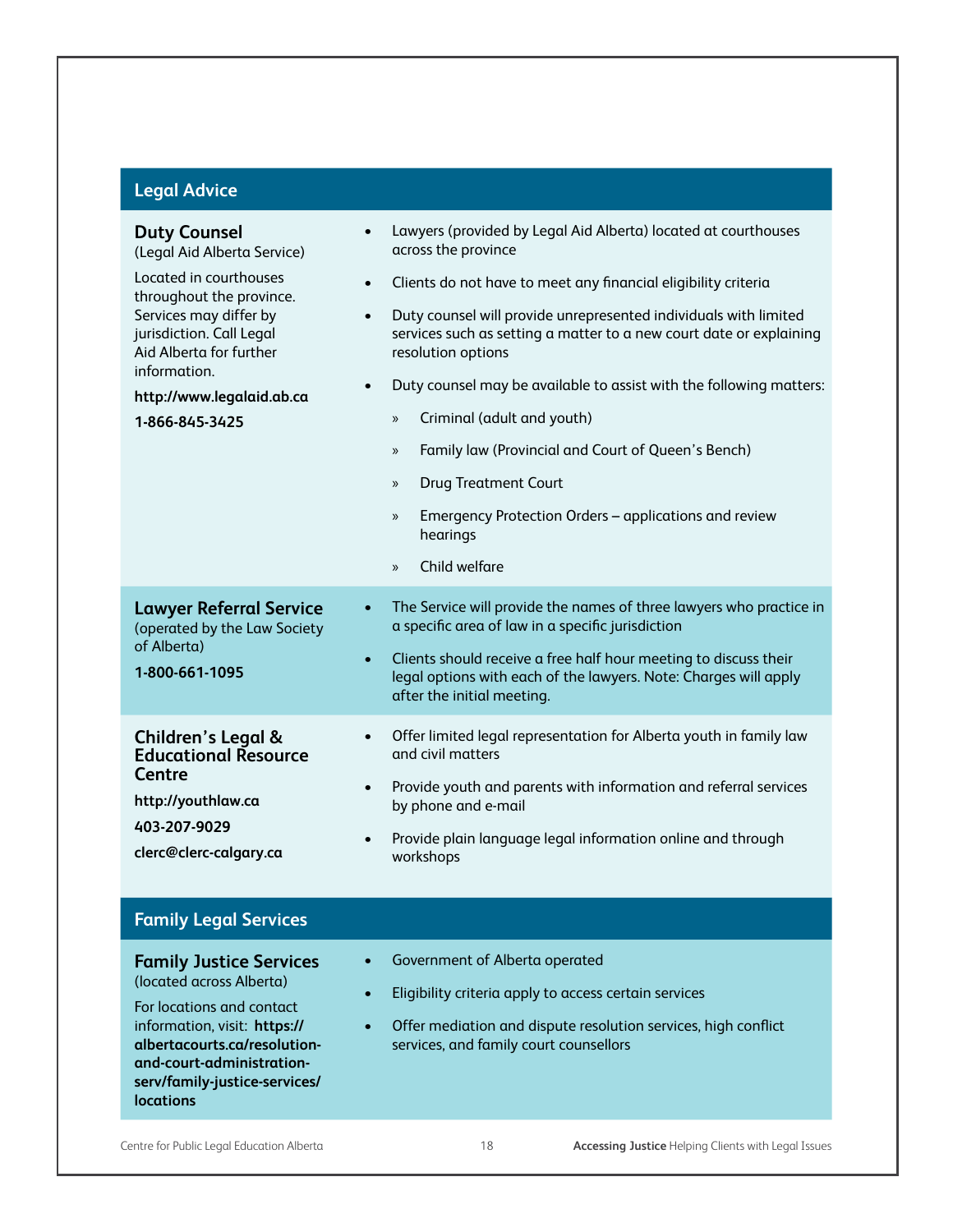## **Legal Advice**

| <b>Duty Counsel</b><br>(Legal Aid Alberta Service)                                                                                                                                                                                        | Lawyers (provided by Legal Aid Alberta) located at courthouses<br>$\bullet$<br>across the province                                                                                                                                                                                                                                                                                                                                                                                                                                                                                                                                |
|-------------------------------------------------------------------------------------------------------------------------------------------------------------------------------------------------------------------------------------------|-----------------------------------------------------------------------------------------------------------------------------------------------------------------------------------------------------------------------------------------------------------------------------------------------------------------------------------------------------------------------------------------------------------------------------------------------------------------------------------------------------------------------------------------------------------------------------------------------------------------------------------|
| Located in courthouses<br>throughout the province.<br>Services may differ by<br>jurisdiction. Call Legal<br>Aid Alberta for further<br>information.<br>http://www.legalaid.ab.ca<br>1-866-845-3425                                        | Clients do not have to meet any financial eligibility criteria<br>$\bullet$<br>Duty counsel will provide unrepresented individuals with limited<br>$\bullet$<br>services such as setting a matter to a new court date or explaining<br>resolution options<br>Duty counsel may be available to assist with the following matters:<br>$\bullet$<br>Criminal (adult and youth)<br>$\rangle$<br>Family law (Provincial and Court of Queen's Bench)<br>$\rangle$<br><b>Drug Treatment Court</b><br>$\gg$<br>Emergency Protection Orders - applications and review<br>$\gg$<br>hearings<br>Child welfare<br>$\mathcal{V}$               |
| <b>Lawyer Referral Service</b><br>(operated by the Law Society<br>of Alberta)<br>1-800-661-1095<br>Children's Legal &<br><b>Educational Resource</b><br><b>Centre</b><br>http://youthlaw.ca<br>403-207-9029<br>clerc@clerc-calgary.ca     | The Service will provide the names of three lawyers who practice in<br>$\bullet$<br>a specific area of law in a specific jurisdiction<br>Clients should receive a free half hour meeting to discuss their<br>$\bullet$<br>legal options with each of the lawyers. Note: Charges will apply<br>after the initial meeting.<br>Offer limited legal representation for Alberta youth in family law<br>$\bullet$<br>and civil matters<br>Provide youth and parents with information and referral services<br>$\bullet$<br>by phone and e-mail<br>Provide plain language legal information online and through<br>$\bullet$<br>workshops |
| <b>Family Legal Services</b>                                                                                                                                                                                                              |                                                                                                                                                                                                                                                                                                                                                                                                                                                                                                                                                                                                                                   |
| <b>Family Justice Services</b><br>(located across Alberta)<br>For locations and contact<br>information, visit: https://<br>albertacourts.ca/resolution-<br>and-court-administration-<br>serv/family-justice-services/<br><b>locations</b> | Government of Alberta operated<br>Eligibility criteria apply to access certain services<br>Offer mediation and dispute resolution services, high conflict<br>$\bullet$<br>services, and family court counsellors                                                                                                                                                                                                                                                                                                                                                                                                                  |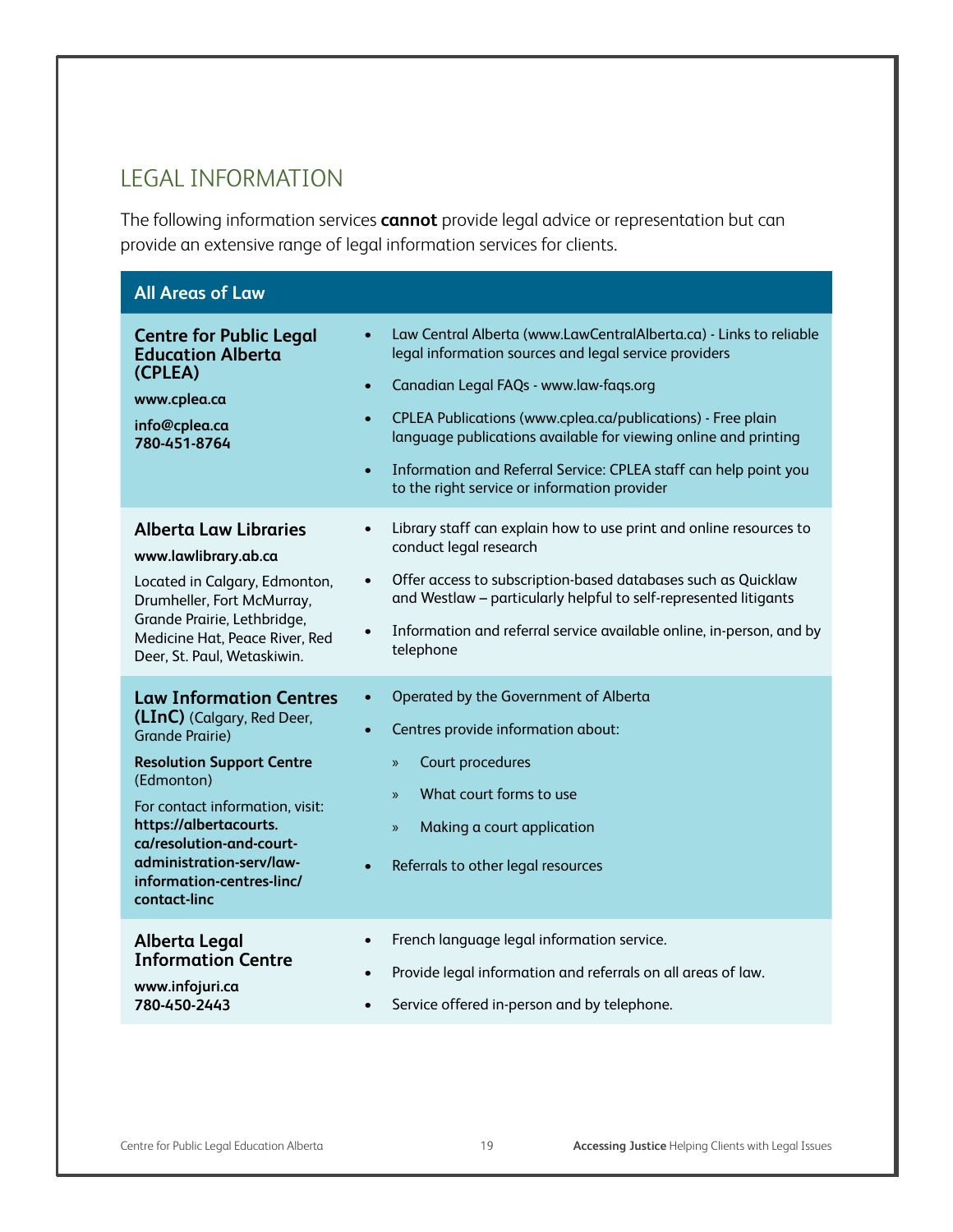#### LEGAL INFORMATION

The following information services **cannot** provide legal advice or representation but can provide an extensive range of legal information services for clients.

| <b>All Areas of Law</b>                                                                                                                                                                                                                                                                                    |                                                                                                                                                                                                                                                                                                                                                                                                                                                                    |
|------------------------------------------------------------------------------------------------------------------------------------------------------------------------------------------------------------------------------------------------------------------------------------------------------------|--------------------------------------------------------------------------------------------------------------------------------------------------------------------------------------------------------------------------------------------------------------------------------------------------------------------------------------------------------------------------------------------------------------------------------------------------------------------|
| <b>Centre for Public Legal</b><br><b>Education Alberta</b><br>(CPLEA)<br>www.cplea.ca<br>info@cplea.ca<br>780-451-8764                                                                                                                                                                                     | Law Central Alberta (www.LawCentralAlberta.ca) - Links to reliable<br>legal information sources and legal service providers<br>Canadian Legal FAQs - www.law-faqs.org<br>$\bullet$<br>CPLEA Publications (www.cplea.ca/publications) - Free plain<br>$\bullet$<br>language publications available for viewing online and printing<br>Information and Referral Service: CPLEA staff can help point you<br>$\bullet$<br>to the right service or information provider |
| <b>Alberta Law Libraries</b><br>www.lawlibrary.ab.ca<br>Located in Calgary, Edmonton,<br>Drumheller, Fort McMurray,<br>Grande Prairie, Lethbridge,<br>Medicine Hat, Peace River, Red<br>Deer, St. Paul, Wetaskiwin.                                                                                        | Library staff can explain how to use print and online resources to<br>$\bullet$<br>conduct legal research<br>Offer access to subscription-based databases such as Quicklaw<br>$\bullet$<br>and Westlaw - particularly helpful to self-represented litigants<br>Information and referral service available online, in-person, and by<br>$\bullet$<br>telephone                                                                                                      |
| <b>Law Information Centres</b><br>(LInC) (Calgary, Red Deer,<br><b>Grande Prairie)</b><br><b>Resolution Support Centre</b><br>(Edmonton)<br>For contact information, visit:<br>https://albertacourts.<br>ca/resolution-and-court-<br>administration-serv/law-<br>information-centres-linc/<br>contact-linc | Operated by the Government of Alberta<br>Centres provide information about:<br>Court procedures<br>$\gg$<br>What court forms to use<br>$\mathcal{P}$<br>Making a court application<br>$\mathcal{P}$<br>Referrals to other legal resources                                                                                                                                                                                                                          |
| Alberta Legal<br><b>Information Centre</b><br>www.infojuri.ca<br>780-450-2443                                                                                                                                                                                                                              | French language legal information service.<br>$\bullet$<br>Provide legal information and referrals on all areas of law.<br>$\bullet$<br>Service offered in-person and by telephone.<br>$\bullet$                                                                                                                                                                                                                                                                   |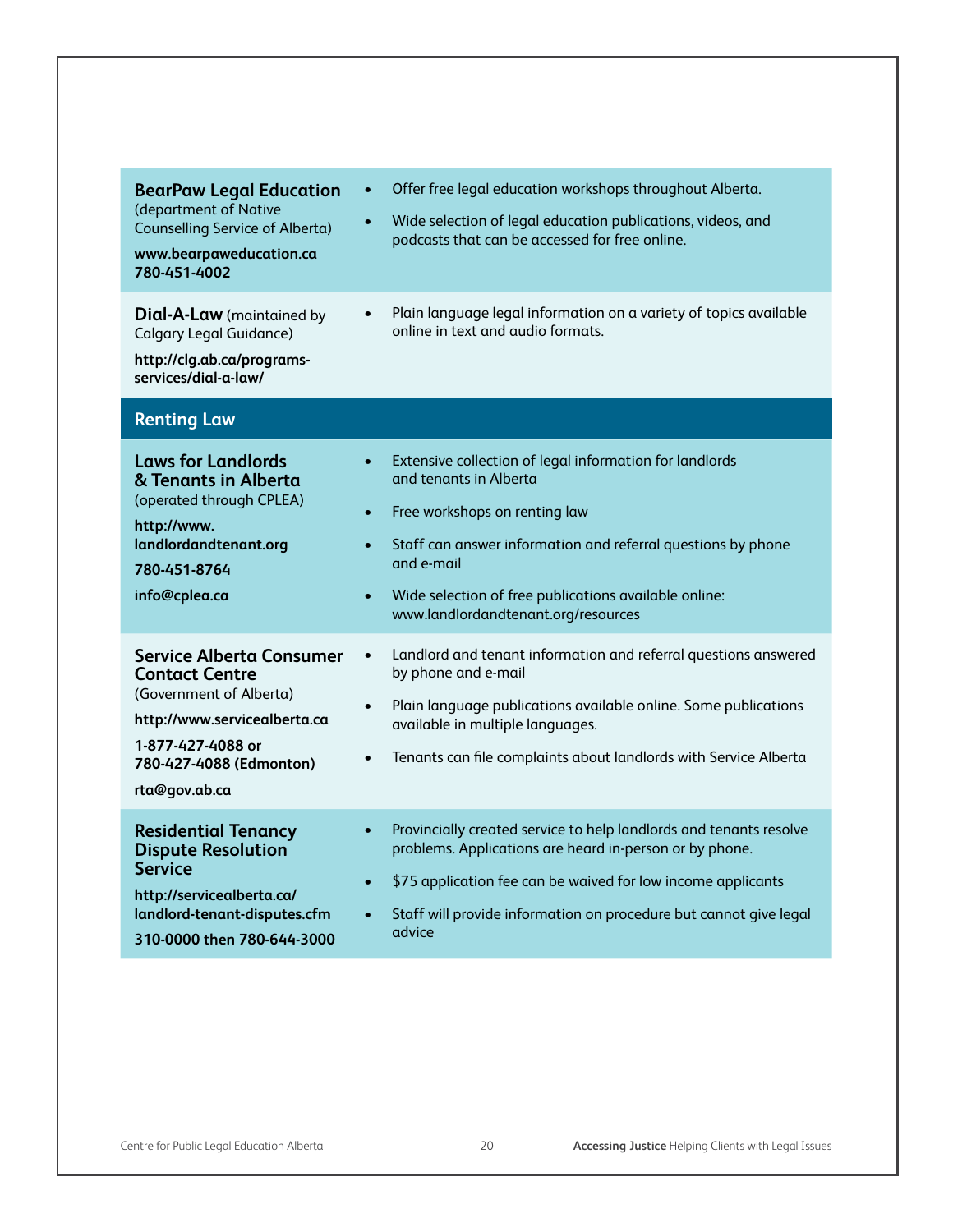| <b>BearPaw Legal Education</b><br>(department of Native<br><b>Counselling Service of Alberta)</b><br>www.bearpaweducation.ca<br>780-451-4002                                         | Offer free legal education workshops throughout Alberta.<br>$\bullet$<br>Wide selection of legal education publications, videos, and<br>$\bullet$<br>podcasts that can be accessed for free online.                                                                                                                                                  |
|--------------------------------------------------------------------------------------------------------------------------------------------------------------------------------------|------------------------------------------------------------------------------------------------------------------------------------------------------------------------------------------------------------------------------------------------------------------------------------------------------------------------------------------------------|
| <b>Dial-A-Law</b> (maintained by<br><b>Calgary Legal Guidance)</b><br>http://clg.ab.ca/programs-<br>services/dial-a-law/                                                             | Plain language legal information on a variety of topics available<br>$\bullet$<br>online in text and audio formats.                                                                                                                                                                                                                                  |
| <b>Renting Law</b>                                                                                                                                                                   |                                                                                                                                                                                                                                                                                                                                                      |
| <b>Laws for Landlords</b><br>& Tenants in Alberta<br>(operated through CPLEA)<br>http://www.<br>landlordandtenant.org<br>780-451-8764<br>info@cplea.ca                               | Extensive collection of legal information for landlords<br>$\bullet$<br>and tenants in Alberta<br>Free workshops on renting law<br>$\bullet$<br>Staff can answer information and referral questions by phone<br>$\bullet$<br>and e-mail<br>Wide selection of free publications available online:<br>$\bullet$<br>www.landlordandtenant.org/resources |
| <b>Service Alberta Consumer</b><br><b>Contact Centre</b><br>(Government of Alberta)<br>http://www.servicealberta.ca<br>1-877-427-4088 or<br>780-427-4088 (Edmonton)<br>rta@gov.ab.ca | Landlord and tenant information and referral questions answered<br>$\bullet$<br>by phone and e-mail<br>Plain language publications available online. Some publications<br>$\bullet$<br>available in multiple languages.<br>Tenants can file complaints about landlords with Service Alberta                                                          |
| <b>Residential Tenancy</b><br><b>Dispute Resolution</b><br><b>Service</b><br>http://servicealberta.ca/<br>landlord-tenant-disputes.cfm<br>310-0000 then 780-644-3000                 | Provincially created service to help landlords and tenants resolve<br>$\bullet$<br>problems. Applications are heard in-person or by phone.<br>\$75 application fee can be waived for low income applicants<br>$\bullet$<br>Staff will provide information on procedure but cannot give legal<br>$\bullet$<br>advice                                  |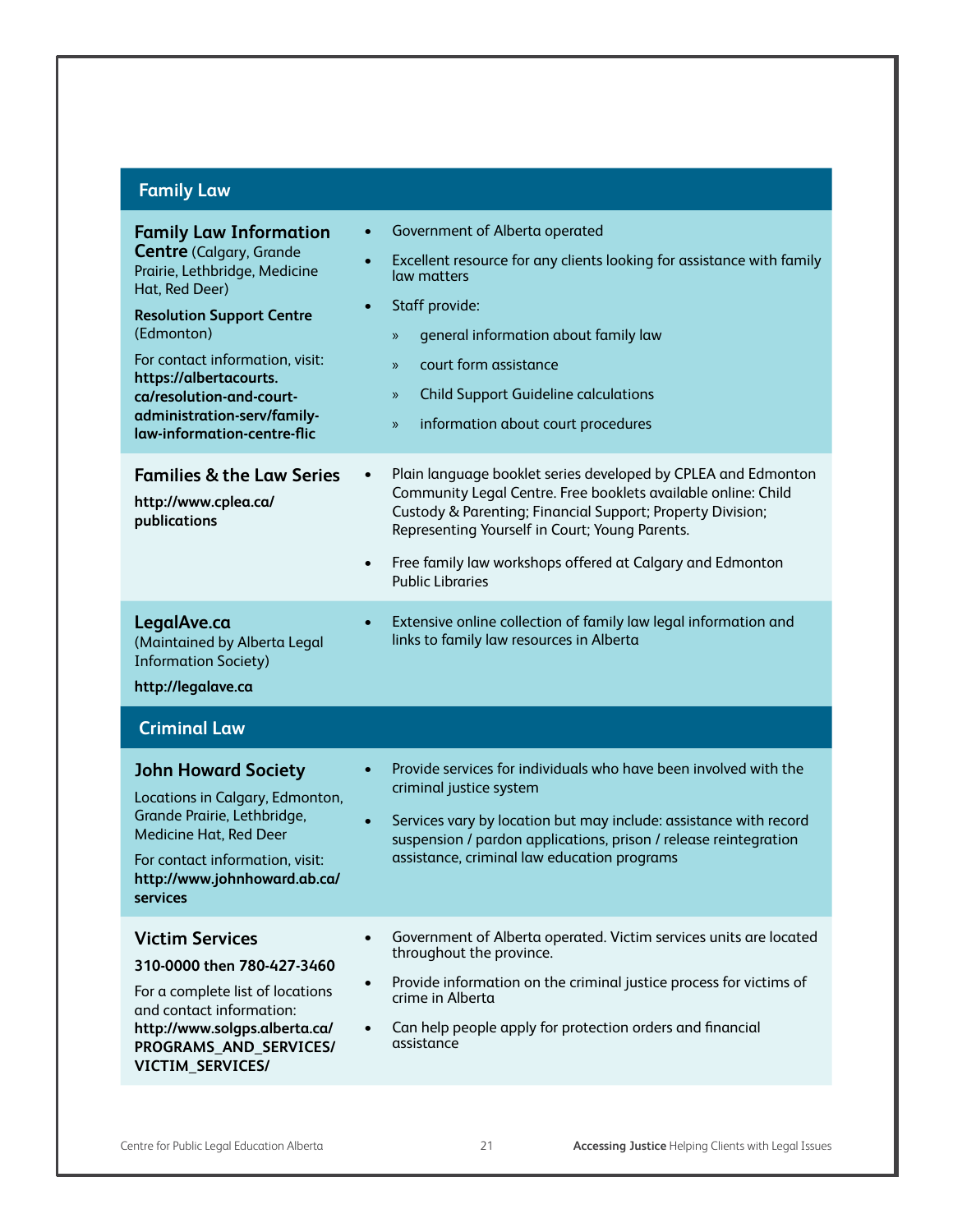## **Family Law**

| <b>Family Law Information</b><br><b>Centre (Calgary, Grande</b><br>Prairie, Lethbridge, Medicine<br>Hat, Red Deer)<br><b>Resolution Support Centre</b><br>(Edmonton)<br>For contact information, visit:<br>https://albertacourts.<br>ca/resolution-and-court-<br>administration-serv/family-<br>law-information-centre-flic | Government of Alberta operated<br>$\bullet$<br>Excellent resource for any clients looking for assistance with family<br>$\bullet$<br>law matters<br>Staff provide:<br>$\bullet$<br>general information about family law<br>$\gg$<br>court form assistance<br>$\mathcal{V}$<br><b>Child Support Guideline calculations</b><br>$\gg$<br>information about court procedures<br>$\gg$ |
|-----------------------------------------------------------------------------------------------------------------------------------------------------------------------------------------------------------------------------------------------------------------------------------------------------------------------------|-----------------------------------------------------------------------------------------------------------------------------------------------------------------------------------------------------------------------------------------------------------------------------------------------------------------------------------------------------------------------------------|
| <b>Families &amp; the Law Series</b><br>http://www.cplea.ca/<br>publications                                                                                                                                                                                                                                                | Plain language booklet series developed by CPLEA and Edmonton<br>$\bullet$<br>Community Legal Centre. Free booklets available online: Child<br>Custody & Parenting; Financial Support; Property Division;<br>Representing Yourself in Court; Young Parents.<br>Free family law workshops offered at Calgary and Edmonton<br>$\bullet$<br><b>Public Libraries</b>                  |
| LegalAve.ca<br>(Maintained by Alberta Legal<br><b>Information Society)</b><br>http://legalave.ca                                                                                                                                                                                                                            | Extensive online collection of family law legal information and<br>$\bullet$<br>links to family law resources in Alberta                                                                                                                                                                                                                                                          |
| <b>Criminal Law</b>                                                                                                                                                                                                                                                                                                         |                                                                                                                                                                                                                                                                                                                                                                                   |
| <b>John Howard Society</b><br>Locations in Calgary, Edmonton,<br>Grande Prairie, Lethbridge,<br>Medicine Hat, Red Deer                                                                                                                                                                                                      | Provide services for individuals who have been involved with the<br>criminal justice system<br>Services vary by location but may include: assistance with record<br>$\bullet$<br>suspension / pardon applications, prison / release reintegration                                                                                                                                 |
| For contact information, visit:<br>http://www.johnhoward.ab.ca/<br>services                                                                                                                                                                                                                                                 | assistance, criminal law education programs                                                                                                                                                                                                                                                                                                                                       |
| <b>Victim Services</b><br>310-0000 then 780-427-3460<br>For a complete list of locations<br>and contact information:<br>http://www.solgps.alberta.ca/<br>PROGRAMS_AND_SERVICES/<br>VICTIM_SERVICES/                                                                                                                         | Government of Alberta operated. Victim services units are located<br>$\bullet$<br>throughout the province.<br>Provide information on the criminal justice process for victims of<br>$\bullet$<br>crime in Alberta<br>Can help people apply for protection orders and financial<br>$\bullet$<br>assistance                                                                         |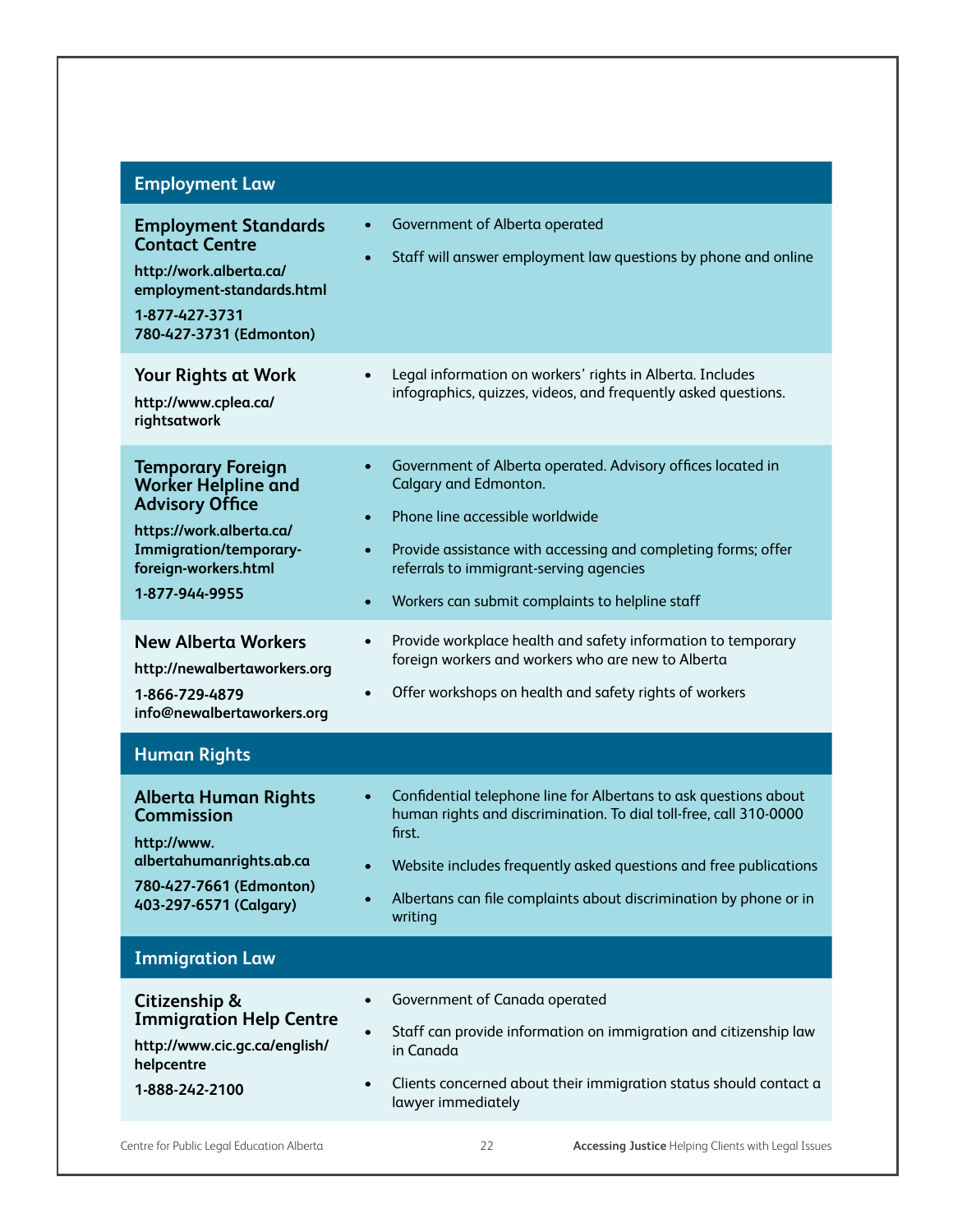#### **Employment Law**

| <b>Employment Standards</b><br><b>Contact Centre</b><br>http://work.alberta.ca/<br>employment-standards.html<br>1-877-427-3731<br>780-427-3731 (Edmonton)                        | Government of Alberta operated<br>$\bullet$<br>Staff will answer employment law questions by phone and online<br>$\bullet$                                                                                                                                                                                                                 |
|----------------------------------------------------------------------------------------------------------------------------------------------------------------------------------|--------------------------------------------------------------------------------------------------------------------------------------------------------------------------------------------------------------------------------------------------------------------------------------------------------------------------------------------|
| <b>Your Rights at Work</b><br>http://www.cplea.ca/<br>rightsatwork                                                                                                               | Legal information on workers' rights in Alberta. Includes<br>$\bullet$<br>infographics, quizzes, videos, and frequently asked questions.                                                                                                                                                                                                   |
| <b>Temporary Foreign</b><br><b>Worker Helpline and</b><br><b>Advisory Office</b><br>https://work.alberta.ca/<br>Immigration/temporary-<br>foreign-workers.html<br>1-877-944-9955 | Government of Alberta operated. Advisory offices located in<br>$\bullet$<br>Calgary and Edmonton.<br>Phone line accessible worldwide<br>$\bullet$<br>Provide assistance with accessing and completing forms; offer<br>$\bullet$<br>referrals to immigrant-serving agencies<br>Workers can submit complaints to helpline staff<br>$\bullet$ |
| <b>New Alberta Workers</b><br>http://newalbertaworkers.org<br>1-866-729-4879<br>info@newalbertaworkers.org                                                                       | Provide workplace health and safety information to temporary<br>$\bullet$<br>foreign workers and workers who are new to Alberta<br>Offer workshops on health and safety rights of workers<br>$\bullet$                                                                                                                                     |
| <b>Human Rights</b>                                                                                                                                                              |                                                                                                                                                                                                                                                                                                                                            |
| <b>Alberta Human Rights</b><br><b>Commission</b><br>http://www.<br>albertahumanrights.ab.ca<br>780-427-7661 (Edmonton)<br>403-297-6571 (Calgary)                                 | Confidential telephone line for Albertans to ask questions about<br>$\bullet$<br>human rights and discrimination. To dial toll-free, call 310-0000<br>first.<br>Website includes frequently asked questions and free publications<br>$\bullet$<br>Albertans can file complaints about discrimination by phone or in<br>writing             |
| <b>Immigration Law</b>                                                                                                                                                           |                                                                                                                                                                                                                                                                                                                                            |
| Citizenship &<br><b>Immigration Help Centre</b><br>http://www.cic.gc.ca/english/<br>helpcentre<br>1-888-242-2100                                                                 | Government of Canada operated<br>Staff can provide information on immigration and citizenship law<br>$\bullet$<br>in Canada<br>Clients concerned about their immigration status should contact a<br>$\bullet$<br>lawyer immediately                                                                                                        |
| Centre for Public Legal Education Alberta                                                                                                                                        | 22<br><b>Accessing Justice Helping Clients with Legal Issues</b>                                                                                                                                                                                                                                                                           |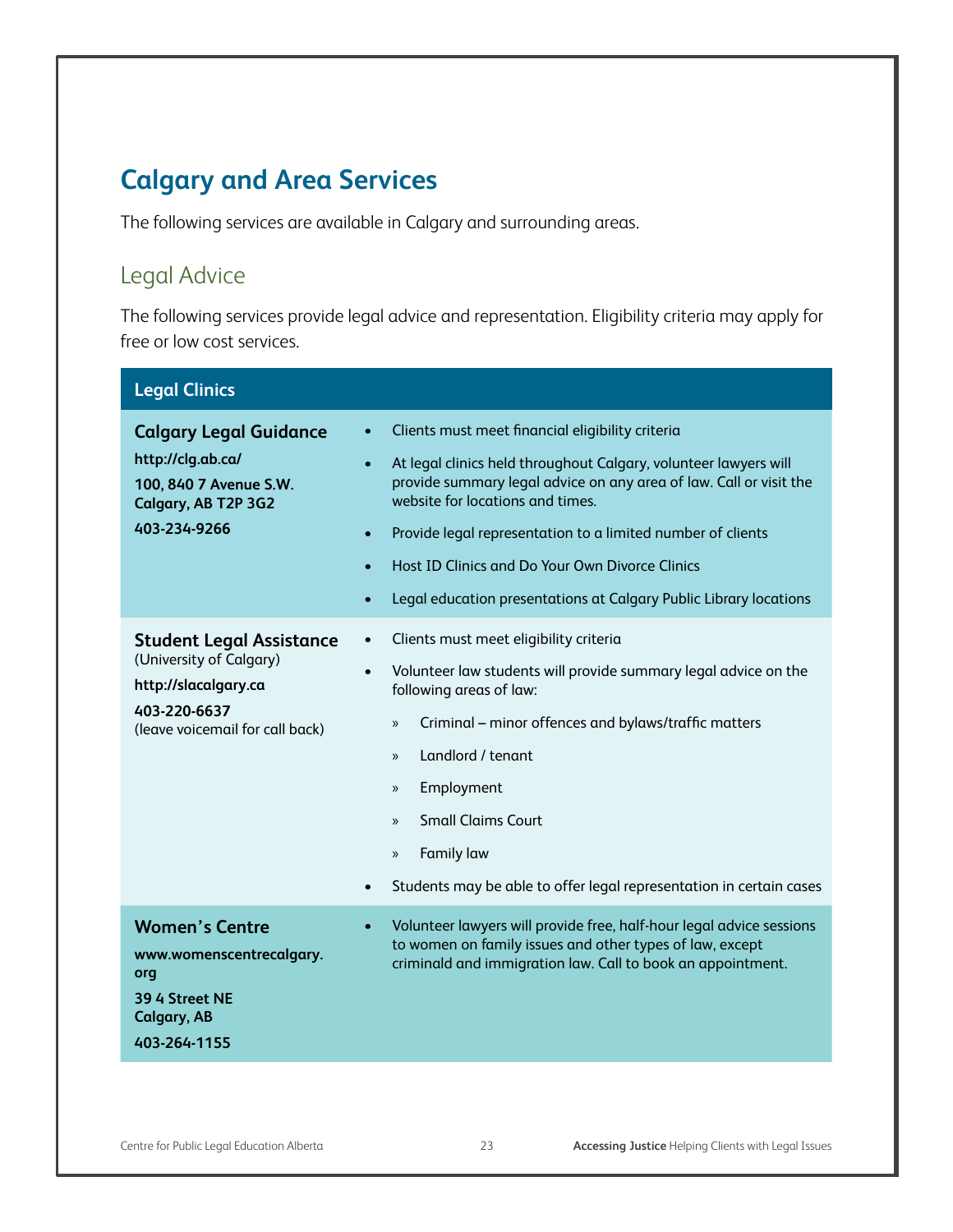# **Calgary and Area Services**

The following services are available in Calgary and surrounding areas.

#### Legal Advice

The following services provide legal advice and representation. Eligibility criteria may apply for free or low cost services.

| <b>Legal Clinics</b>                                                                                                                  |                                                                                                                                                                                                                                                                                                                                                                                                                                                                           |
|---------------------------------------------------------------------------------------------------------------------------------------|---------------------------------------------------------------------------------------------------------------------------------------------------------------------------------------------------------------------------------------------------------------------------------------------------------------------------------------------------------------------------------------------------------------------------------------------------------------------------|
| <b>Calgary Legal Guidance</b><br>http://clg.ab.ca/<br>100, 840 7 Avenue S.W.<br>Calgary, AB T2P 3G2<br>403-234-9266                   | Clients must meet financial eligibility criteria<br>At legal clinics held throughout Calgary, volunteer lawyers will<br>$\bullet$<br>provide summary legal advice on any area of law. Call or visit the<br>website for locations and times.<br>Provide legal representation to a limited number of clients<br>$\bullet$<br>Host ID Clinics and Do Your Own Divorce Clinics<br>$\bullet$<br>Legal education presentations at Calgary Public Library locations<br>$\bullet$ |
| <b>Student Legal Assistance</b><br>(University of Calgary)<br>http://slacalgary.ca<br>403-220-6637<br>(leave voicemail for call back) | Clients must meet eligibility criteria<br>Volunteer law students will provide summary legal advice on the<br>$\bullet$<br>following areas of law:<br>Criminal - minor offences and bylaws/traffic matters<br>$\mathcal{V}$<br>Landlord / tenant<br>$\mathcal{V}$<br>Employment<br>$\mathcal{V}$<br><b>Small Claims Court</b><br>$\mathcal{V}$<br><b>Family law</b><br>$\mathcal{V}$<br>Students may be able to offer legal representation in certain cases                |
| <b>Women's Centre</b><br>www.womenscentrecalgary.<br>org<br>39 4 Street NE<br><b>Calgary, AB</b><br>403-264-1155                      | Volunteer lawyers will provide free, half-hour legal advice sessions<br>$\bullet$<br>to women on family issues and other types of law, except<br>criminald and immigration law. Call to book an appointment.                                                                                                                                                                                                                                                              |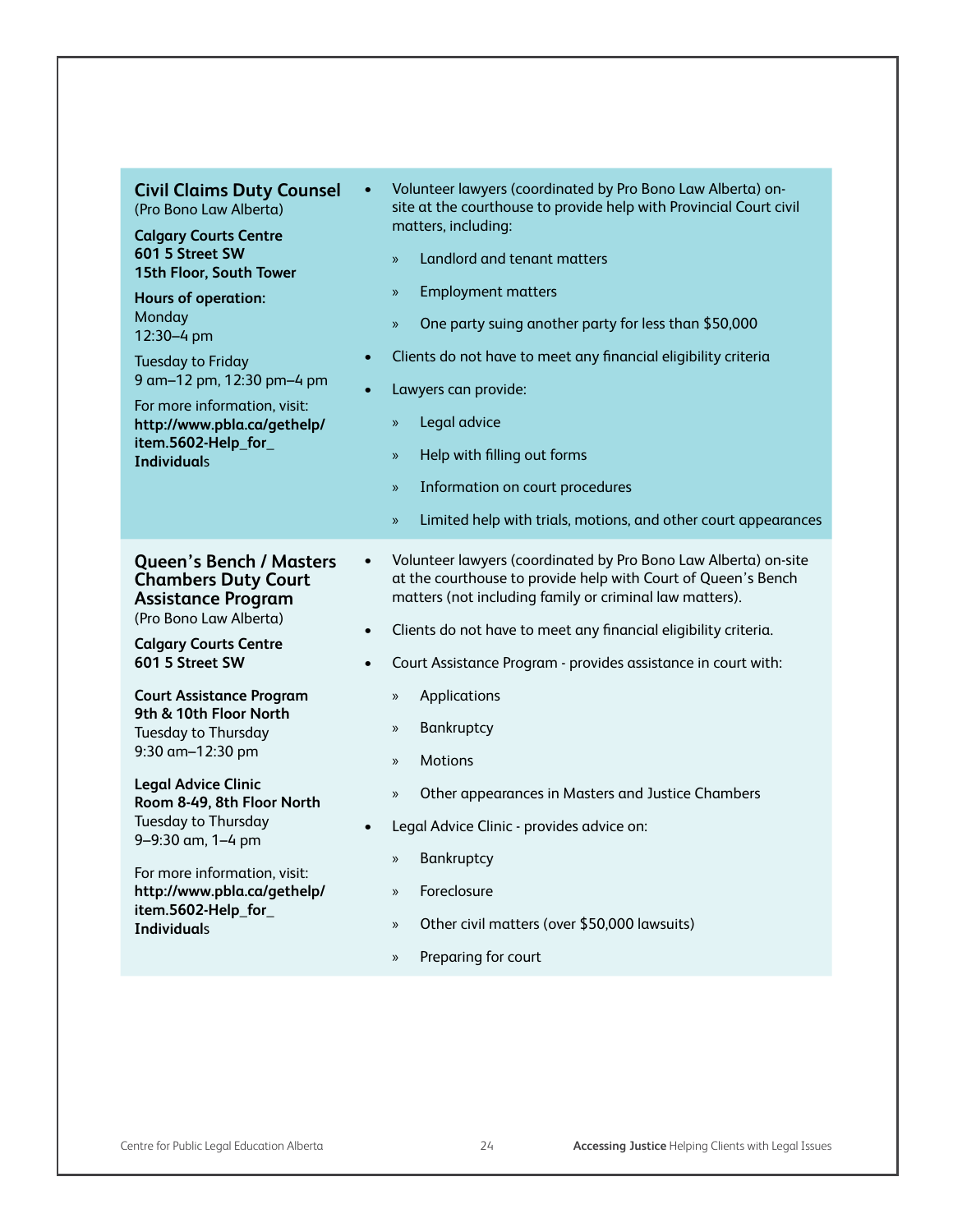| <b>Civil Claims Duty Counsel</b><br>(Pro Bono Law Alberta)<br><b>Calgary Courts Centre</b><br>601 5 Street SW<br>15th Floor, South Tower<br><b>Hours of operation:</b><br>Monday<br>12:30-4 pm<br><b>Tuesday to Friday</b><br>9 am-12 pm, 12:30 pm-4 pm<br>For more information, visit:<br>http://www.pbla.ca/gethelp/<br>item.5602-Help_for_<br><b>Individuals</b> | Volunteer lawyers (coordinated by Pro Bono Law Alberta) on-<br>$\bullet$<br>site at the courthouse to provide help with Provincial Court civil<br>matters, including:<br>Landlord and tenant matters<br>$\mathcal{D}$<br><b>Employment matters</b><br>$\mathcal{V}$<br>One party suing another party for less than \$50,000<br>$\mathbf{v}$<br>Clients do not have to meet any financial eligibility criteria<br>$\bullet$<br>Lawyers can provide:<br>$\bullet$<br>Legal advice<br>$\mathcal{V}$<br>Help with filling out forms<br>$\mathcal{V}$<br>Information on court procedures<br>»<br>Limited help with trials, motions, and other court appearances<br>$\mathcal{V}$ |
|---------------------------------------------------------------------------------------------------------------------------------------------------------------------------------------------------------------------------------------------------------------------------------------------------------------------------------------------------------------------|-----------------------------------------------------------------------------------------------------------------------------------------------------------------------------------------------------------------------------------------------------------------------------------------------------------------------------------------------------------------------------------------------------------------------------------------------------------------------------------------------------------------------------------------------------------------------------------------------------------------------------------------------------------------------------|
| <b>Queen's Bench / Masters</b><br><b>Chambers Duty Court</b><br><b>Assistance Program</b><br>(Pro Bono Law Alberta)<br><b>Calgary Courts Centre</b><br>601 5 Street SW<br><b>Court Assistance Program</b><br>9th & 10th Floor North<br>Tuesday to Thursday<br>9:30 am-12:30 pm                                                                                      | Volunteer lawyers (coordinated by Pro Bono Law Alberta) on-site<br>$\bullet$<br>at the courthouse to provide help with Court of Queen's Bench<br>matters (not including family or criminal law matters).<br>Clients do not have to meet any financial eligibility criteria.<br>$\bullet$<br>Court Assistance Program - provides assistance in court with:<br>$\bullet$<br>Applications<br>$\mathcal{V}$<br>Bankruptcy<br>$\rangle\!\rangle$<br><b>Motions</b><br>$\rangle$                                                                                                                                                                                                  |
| <b>Legal Advice Clinic</b><br>Room 8-49, 8th Floor North<br>Tuesday to Thursday<br>9-9:30 am, 1-4 pm<br>For more information, visit:<br>http://www.pbla.ca/gethelp/<br>item.5602-Help_for_<br><b>Individuals</b>                                                                                                                                                    | Other appearances in Masters and Justice Chambers<br>$\rangle\!\rangle$<br>Legal Advice Clinic - provides advice on:<br>$\bullet$<br>Bankruptcy<br>$\gg$<br>Foreclosure<br>$\mathcal{V}$<br>Other civil matters (over \$50,000 lawsuits)<br>$\mathcal{V}$<br>Preparing for court<br>$\mathcal{V}$                                                                                                                                                                                                                                                                                                                                                                           |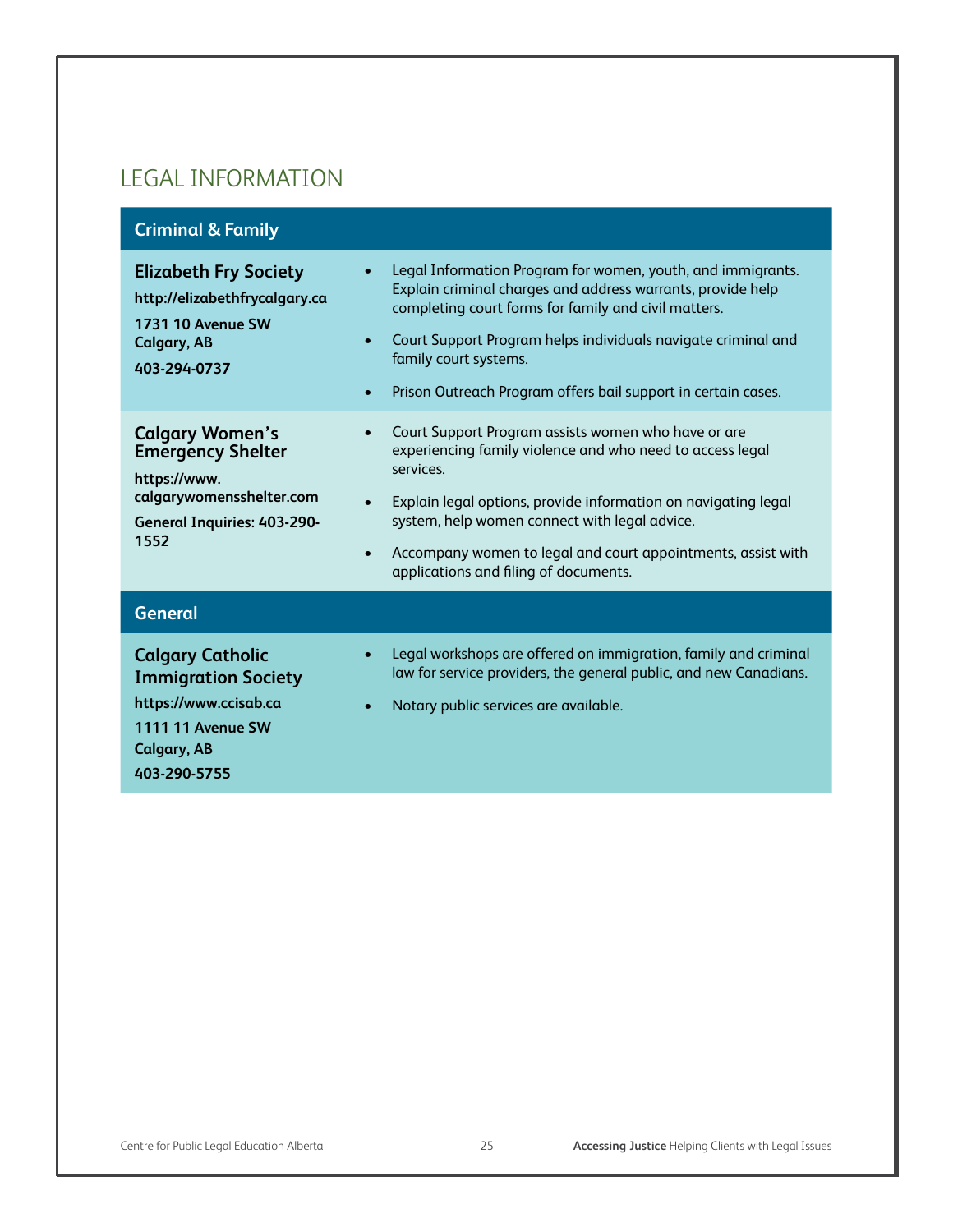#### LEGAL INFORMATION

#### **Criminal & Family**

| <b>Elizabeth Fry Society</b><br>http://elizabethfrycalgary.ca<br><b>1731 10 Avenue SW</b><br><b>Calgary, AB</b><br>$\bullet$<br>403-294-0737<br>$\bullet$              | Legal Information Program for women, youth, and immigrants.<br>Explain criminal charges and address warrants, provide help<br>completing court forms for family and civil matters.<br>Court Support Program helps individuals navigate criminal and<br>family court systems.<br>Prison Outreach Program offers bail support in certain cases.             |
|------------------------------------------------------------------------------------------------------------------------------------------------------------------------|-----------------------------------------------------------------------------------------------------------------------------------------------------------------------------------------------------------------------------------------------------------------------------------------------------------------------------------------------------------|
| <b>Calgary Women's</b><br><b>Emergency Shelter</b><br>https://www.<br>calgarywomensshelter.com<br>$\bullet$<br><b>General Inquiries: 403-290-</b><br>1552<br>$\bullet$ | Court Support Program assists women who have or are<br>experiencing family violence and who need to access legal<br>services.<br>Explain legal options, provide information on navigating legal<br>system, help women connect with legal advice.<br>Accompany women to legal and court appointments, assist with<br>applications and filing of documents. |
| <b>General</b>                                                                                                                                                         |                                                                                                                                                                                                                                                                                                                                                           |
| <b>Calgary Catholic</b><br><b>Immigration Society</b><br>https://www.ccisab.ca<br><b>1111 11 Avenue SW</b><br>Calgary, AB<br>403-290-5755                              | Legal workshops are offered on immigration, family and criminal<br>law for service providers, the general public, and new Canadians.<br>Notary public services are available.                                                                                                                                                                             |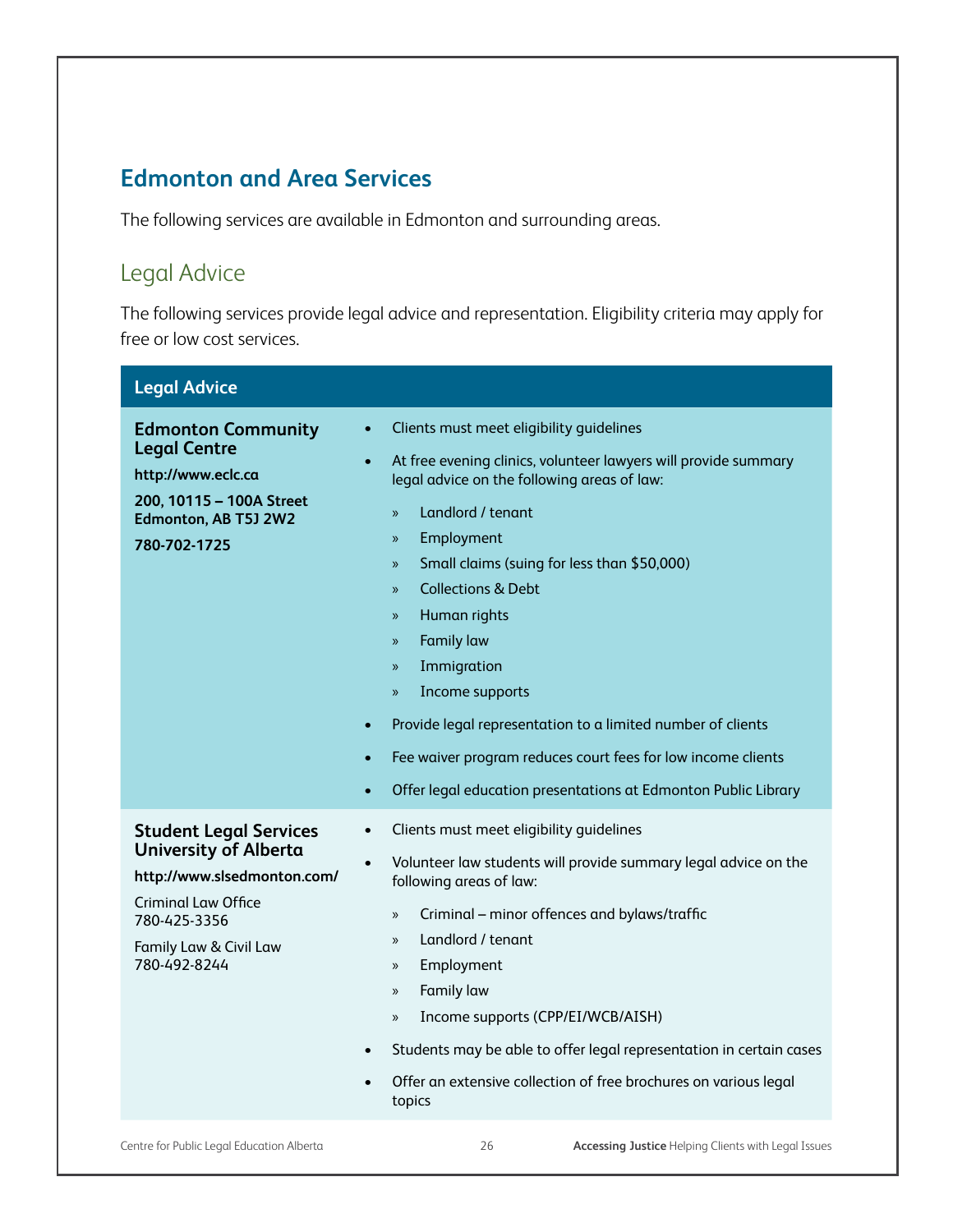#### **Edmonton and Area Services**

The following services are available in Edmonton and surrounding areas.

## Legal Advice

The following services provide legal advice and representation. Eligibility criteria may apply for free or low cost services.

| <b>Legal Advice</b>                                                                                                                                                                  |                                                                                                                                                                                                                                                                                                                                                                                                                                                                                                                                                                                                                                                                                                                              |
|--------------------------------------------------------------------------------------------------------------------------------------------------------------------------------------|------------------------------------------------------------------------------------------------------------------------------------------------------------------------------------------------------------------------------------------------------------------------------------------------------------------------------------------------------------------------------------------------------------------------------------------------------------------------------------------------------------------------------------------------------------------------------------------------------------------------------------------------------------------------------------------------------------------------------|
| <b>Edmonton Community</b><br><b>Legal Centre</b><br>http://www.eclc.ca<br>200, 10115 - 100A Street<br>Edmonton, AB T5J 2W2<br>780-702-1725                                           | Clients must meet eligibility guidelines<br>$\bullet$<br>At free evening clinics, volunteer lawyers will provide summary<br>$\bullet$<br>legal advice on the following areas of law:<br>Landlord / tenant<br>$\mathcal{D}$<br>Employment<br>$\mathcal{V}$<br>Small claims (suing for less than \$50,000)<br>X)<br><b>Collections &amp; Debt</b><br>X)<br>Human rights<br>»<br><b>Family law</b><br>$\mathcal{V}$<br>Immigration<br>$\mathcal{V}$<br>Income supports<br>$\mathcal{V}$<br>Provide legal representation to a limited number of clients<br>$\bullet$<br>Fee waiver program reduces court fees for low income clients<br>$\bullet$<br>Offer legal education presentations at Edmonton Public Library<br>$\bullet$ |
| <b>Student Legal Services</b><br><b>University of Alberta</b><br>http://www.slsedmonton.com/<br><b>Criminal Law Office</b><br>780-425-3356<br>Family Law & Civil Law<br>780-492-8244 | Clients must meet eligibility guidelines<br>$\bullet$<br>Volunteer law students will provide summary legal advice on the<br>$\bullet$<br>following areas of law:<br>Criminal - minor offences and bylaws/traffic<br>$\mathcal{V}$<br>Landlord / tenant<br>»<br>Employment<br>$\rangle$<br>Family law<br>»<br>Income supports (CPP/EI/WCB/AISH)<br>$\mathcal{V}$<br>Students may be able to offer legal representation in certain cases<br>$\bullet$<br>Offer an extensive collection of free brochures on various legal<br>topics                                                                                                                                                                                            |
| Centre for Public Legal Education Alberta                                                                                                                                            | 26<br><b>Accessing Justice Helping Clients with Legal Issues</b>                                                                                                                                                                                                                                                                                                                                                                                                                                                                                                                                                                                                                                                             |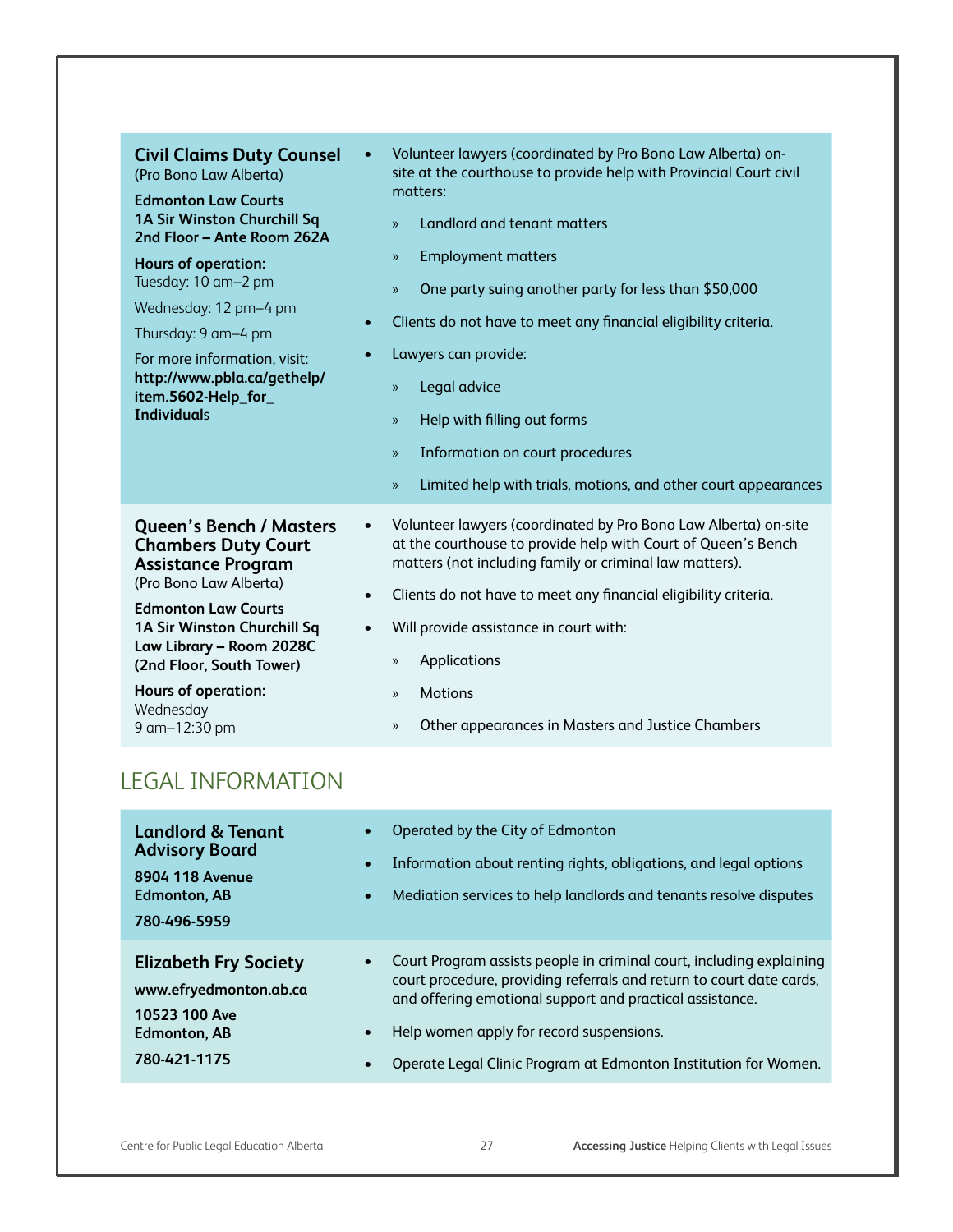| <b>Civil Claims Duty Counsel</b><br>(Pro Bono Law Alberta)<br><b>Edmonton Law Courts</b><br>1A Sir Winston Churchill Sq<br>2nd Floor - Ante Room 262A<br><b>Hours of operation:</b><br>Tuesday: 10 am-2 pm<br>Wednesday: 12 pm-4 pm<br>Thursday: 9 am-4 pm<br>For more information, visit:<br>http://www.pbla.ca/gethelp/<br>item.5602-Help_for_<br><b>Individuals</b> | Volunteer lawyers (coordinated by Pro Bono Law Alberta) on-<br>$\bullet$<br>site at the courthouse to provide help with Provincial Court civil<br>matters:<br>Landlord and tenant matters<br>$\mathcal{D}$<br><b>Employment matters</b><br>$\mathcal{V}$<br>One party suing another party for less than \$50,000<br>$\mathcal{P}$<br>Clients do not have to meet any financial eligibility criteria.<br>$\bullet$<br>Lawyers can provide:<br>$\bullet$<br>Legal advice<br>$\mathcal{V}$<br>Help with filling out forms<br>$\mathcal{V}$<br>Information on court procedures<br>$\mathcal{V}$<br>Limited help with trials, motions, and other court appearances<br>$\mathcal{V}$ |
|------------------------------------------------------------------------------------------------------------------------------------------------------------------------------------------------------------------------------------------------------------------------------------------------------------------------------------------------------------------------|--------------------------------------------------------------------------------------------------------------------------------------------------------------------------------------------------------------------------------------------------------------------------------------------------------------------------------------------------------------------------------------------------------------------------------------------------------------------------------------------------------------------------------------------------------------------------------------------------------------------------------------------------------------------------------|
| <b>Queen's Bench / Masters</b><br><b>Chambers Duty Court</b><br><b>Assistance Program</b><br>(Pro Bono Law Alberta)<br><b>Edmonton Law Courts</b><br>1A Sir Winston Churchill Sq<br>Law Library - Room 2028C<br>(2nd Floor, South Tower)<br><b>Hours of operation:</b><br>Wednesday<br>9 am-12:30 pm                                                                   | Volunteer lawyers (coordinated by Pro Bono Law Alberta) on-site<br>$\bullet$<br>at the courthouse to provide help with Court of Queen's Bench<br>matters (not including family or criminal law matters).<br>Clients do not have to meet any financial eligibility criteria.<br>$\bullet$<br>Will provide assistance in court with:<br>$\bullet$<br>Applications<br>$\mathcal{V}$<br><b>Motions</b><br>$\mathcal{V}$<br>Other appearances in Masters and Justice Chambers<br>$\mathcal{V}$                                                                                                                                                                                      |

### LEGAL INFORMATION

| <b>Landlord &amp; Tenant</b><br><b>Advisory Board</b><br>8904 118 Avenue<br><b>Edmonton, AB</b><br>780-496-5959 | $\bullet$<br>$\bullet$<br>$\bullet$ | Operated by the City of Edmonton<br>Information about renting rights, obligations, and legal options<br>Mediation services to help landlords and tenants resolve disputes                                                                                                                                               |
|-----------------------------------------------------------------------------------------------------------------|-------------------------------------|-------------------------------------------------------------------------------------------------------------------------------------------------------------------------------------------------------------------------------------------------------------------------------------------------------------------------|
| <b>Elizabeth Fry Society</b><br>www.efryedmonton.ab.ca<br>10523 100 Ave<br><b>Edmonton, AB</b><br>780-421-1175  | $\bullet$<br>$\bullet$<br>$\bullet$ | Court Program assists people in criminal court, including explaining<br>court procedure, providing referrals and return to court date cards,<br>and offering emotional support and practical assistance.<br>Help women apply for record suspensions.<br>Operate Legal Clinic Program at Edmonton Institution for Women. |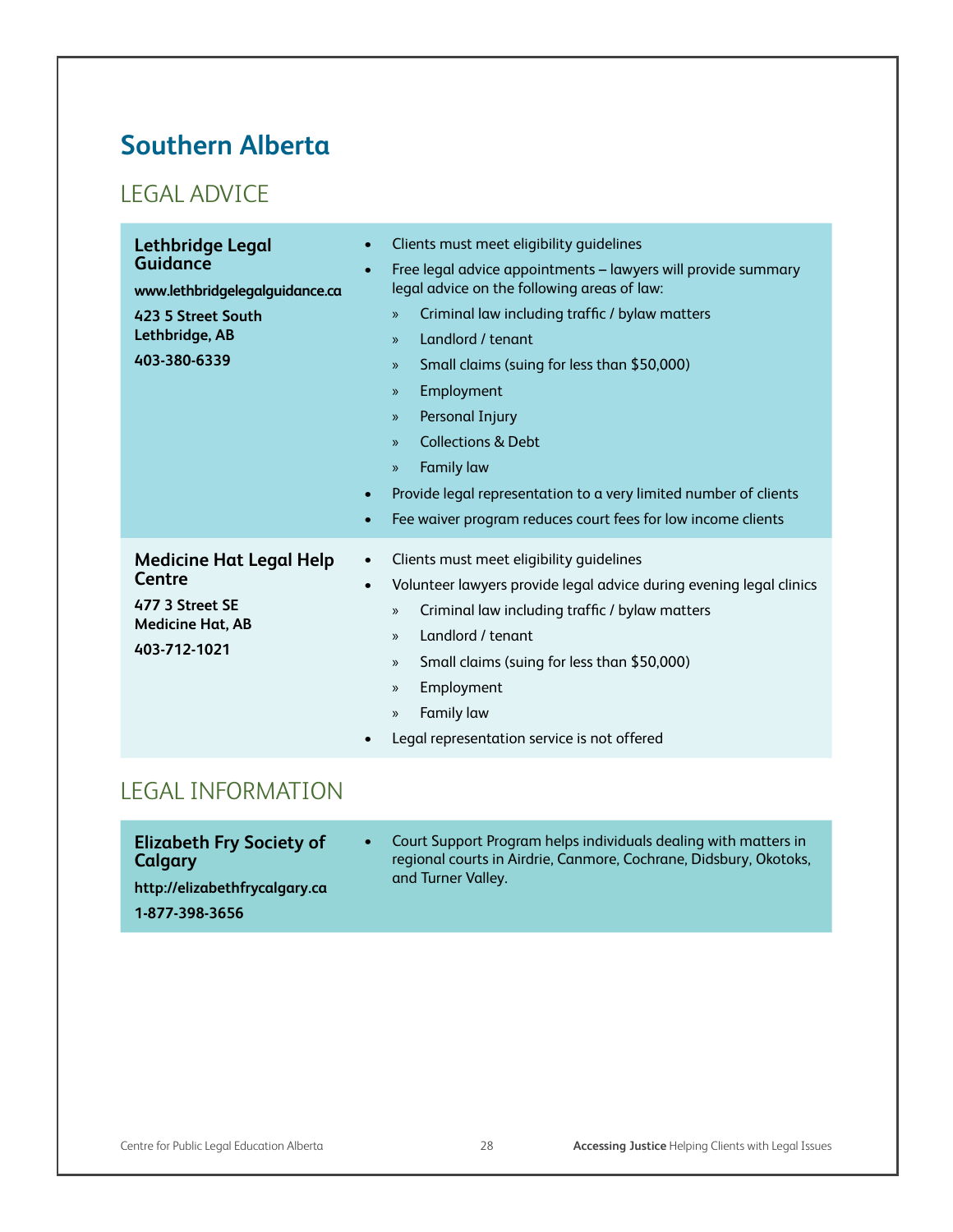# **Southern Alberta**

# LEGAL ADVICE

| <b>Lethbridge Legal</b><br><b>Guidance</b><br>www.lethbridgelegalguidance.ca<br>423 5 Street South<br>Lethbridge, AB<br>403-380-6339 | Clients must meet eligibility guidelines<br>$\bullet$<br>Free legal advice appointments - lawyers will provide summary<br>$\bullet$<br>legal advice on the following areas of law:<br>Criminal law including traffic / bylaw matters<br>$\mathcal{D}$<br>Landlord / tenant<br>$\mathcal{V}$<br>Small claims (suing for less than \$50,000)<br>$\mathcal{V}$<br>Employment<br>$\mathcal{V}$<br>Personal Injury<br>$\mathcal{V}$<br><b>Collections &amp; Debt</b><br>$\mathcal{V}$<br><b>Family law</b><br>$\mathcal{V}$<br>Provide legal representation to a very limited number of clients<br>$\bullet$<br>Fee waiver program reduces court fees for low income clients<br>$\bullet$ |
|--------------------------------------------------------------------------------------------------------------------------------------|--------------------------------------------------------------------------------------------------------------------------------------------------------------------------------------------------------------------------------------------------------------------------------------------------------------------------------------------------------------------------------------------------------------------------------------------------------------------------------------------------------------------------------------------------------------------------------------------------------------------------------------------------------------------------------------|
| <b>Medicine Hat Legal Help</b><br><b>Centre</b><br>477 3 Street SE<br><b>Medicine Hat, AB</b><br>403-712-1021                        | Clients must meet eligibility quidelines<br>$\bullet$<br>Volunteer lawyers provide legal advice during evening legal clinics<br>$\bullet$<br>Criminal law including traffic / bylaw matters<br>$\mathcal{V}$<br>Landlord / tenant<br>$\mathcal{V}$<br>Small claims (suing for less than \$50,000)<br>$\mathcal{V}$<br>Employment<br>$\mathcal{V}$<br>Family law<br>$\mathcal{V}$<br>Legal representation service is not offered                                                                                                                                                                                                                                                      |

#### LEGAL INFORMATION

| <b>Elizabeth Fry Society of</b><br>Calgary<br>http://elizabethfrycalgary.ca | Court Support Program helps individuals dealing with matters in<br>regional courts in Airdrie, Canmore, Cochrane, Didsbury, Okotoks,<br>and Turner Valley. |
|-----------------------------------------------------------------------------|------------------------------------------------------------------------------------------------------------------------------------------------------------|
| 1-877-398-3656                                                              |                                                                                                                                                            |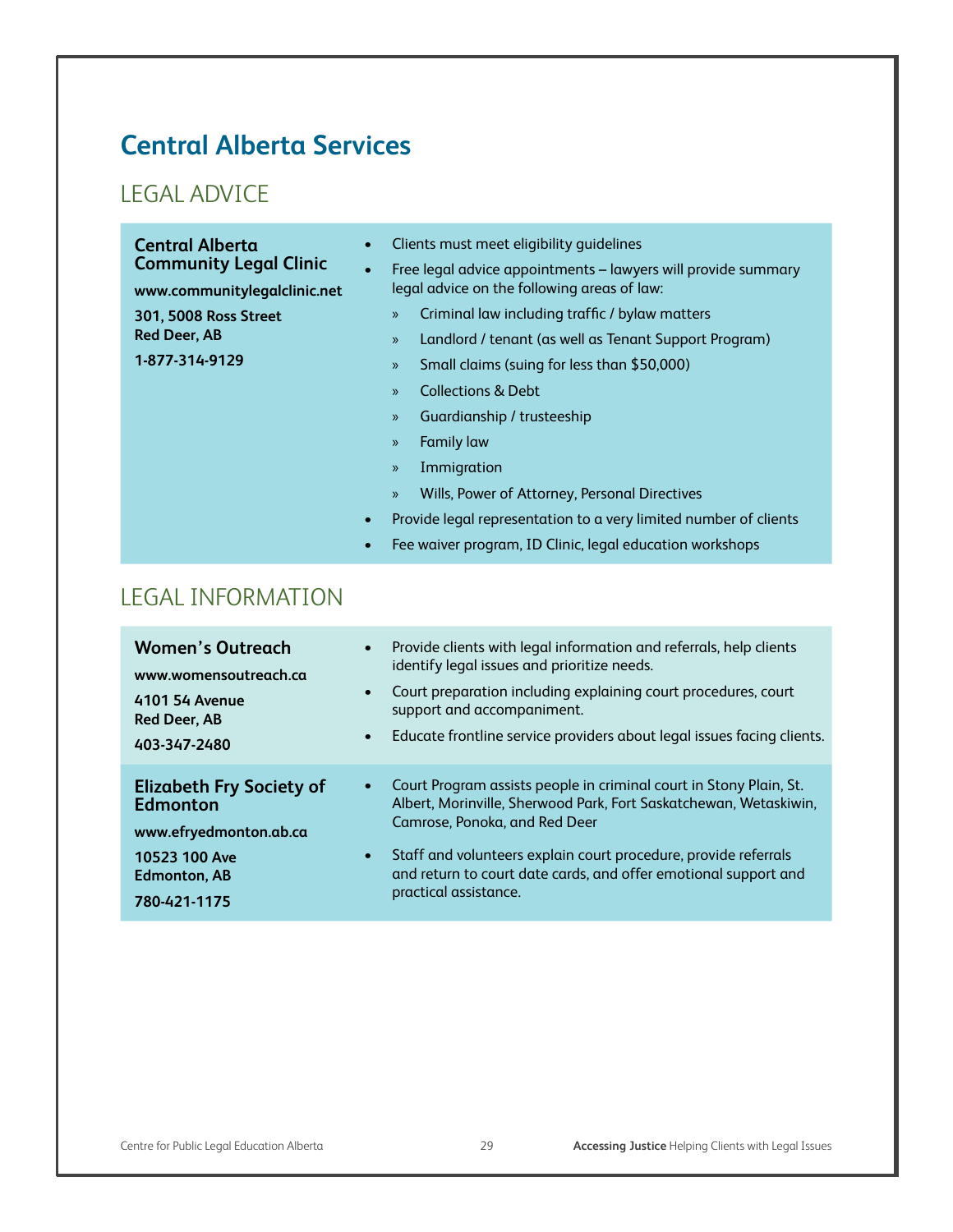# **Central Alberta Services**

#### LEGAL ADVICE

| <b>Central Alberta</b><br><b>Community Legal Clinic</b><br>www.communitylegalclinic.net<br><b>301, 5008 Ross Street</b><br><b>Red Deer, AB</b><br>1-877-314-9129 | Clients must meet eligibility quidelines<br>$\bullet$<br>Free legal advice appointments - lawyers will provide summary<br>$\bullet$<br>legal advice on the following areas of law:<br>Criminal law including traffic / bylaw matters<br>$\mathcal{V}$<br>Landlord / tenant (as well as Tenant Support Program)<br>$\mathcal{P}$<br>Small claims (suing for less than \$50,000)<br>$\mathcal{P}$<br><b>Collections &amp; Debt</b><br>$\mathcal{P}$<br>Guardianship / trusteeship<br>$\rangle\!\rangle$<br><b>Family law</b><br>$\mathcal{P}$<br>Immigration<br>$\mathcal{P}$<br>Wills, Power of Attorney, Personal Directives<br>$\mathcal{P}$<br>Provide legal representation to a very limited number of clients<br>$\bullet$<br>Fee waiver program, ID Clinic, legal education workshops<br>$\bullet$ |
|------------------------------------------------------------------------------------------------------------------------------------------------------------------|---------------------------------------------------------------------------------------------------------------------------------------------------------------------------------------------------------------------------------------------------------------------------------------------------------------------------------------------------------------------------------------------------------------------------------------------------------------------------------------------------------------------------------------------------------------------------------------------------------------------------------------------------------------------------------------------------------------------------------------------------------------------------------------------------------|
|                                                                                                                                                                  |                                                                                                                                                                                                                                                                                                                                                                                                                                                                                                                                                                                                                                                                                                                                                                                                         |

#### LEGAL INFORMATION

| <b>Women's Outreach</b><br>www.womensoutreach.ca<br>$\bullet$<br>4101 54 Avenue<br><b>Red Deer, AB</b><br>$\bullet$<br>403-347-2480                            | • Provide clients with legal information and referrals, help clients<br>identify legal issues and prioritize needs.<br>Court preparation including explaining court procedures, court<br>support and accompaniment.<br>Educate frontline service providers about legal issues facing clients.                                           |
|----------------------------------------------------------------------------------------------------------------------------------------------------------------|-----------------------------------------------------------------------------------------------------------------------------------------------------------------------------------------------------------------------------------------------------------------------------------------------------------------------------------------|
| <b>Elizabeth Fry Society of</b><br>$\bullet$<br><b>Edmonton</b><br>www.efryedmonton.ab.ca<br>10523 100 Ave<br>$\bullet$<br><b>Edmonton, AB</b><br>780-421-1175 | Court Program assists people in criminal court in Stony Plain, St.<br>Albert, Morinville, Sherwood Park, Fort Saskatchewan, Wetaskiwin,<br>Camrose, Ponoka, and Red Deer<br>Staff and volunteers explain court procedure, provide referrals<br>and return to court date cards, and offer emotional support and<br>practical assistance. |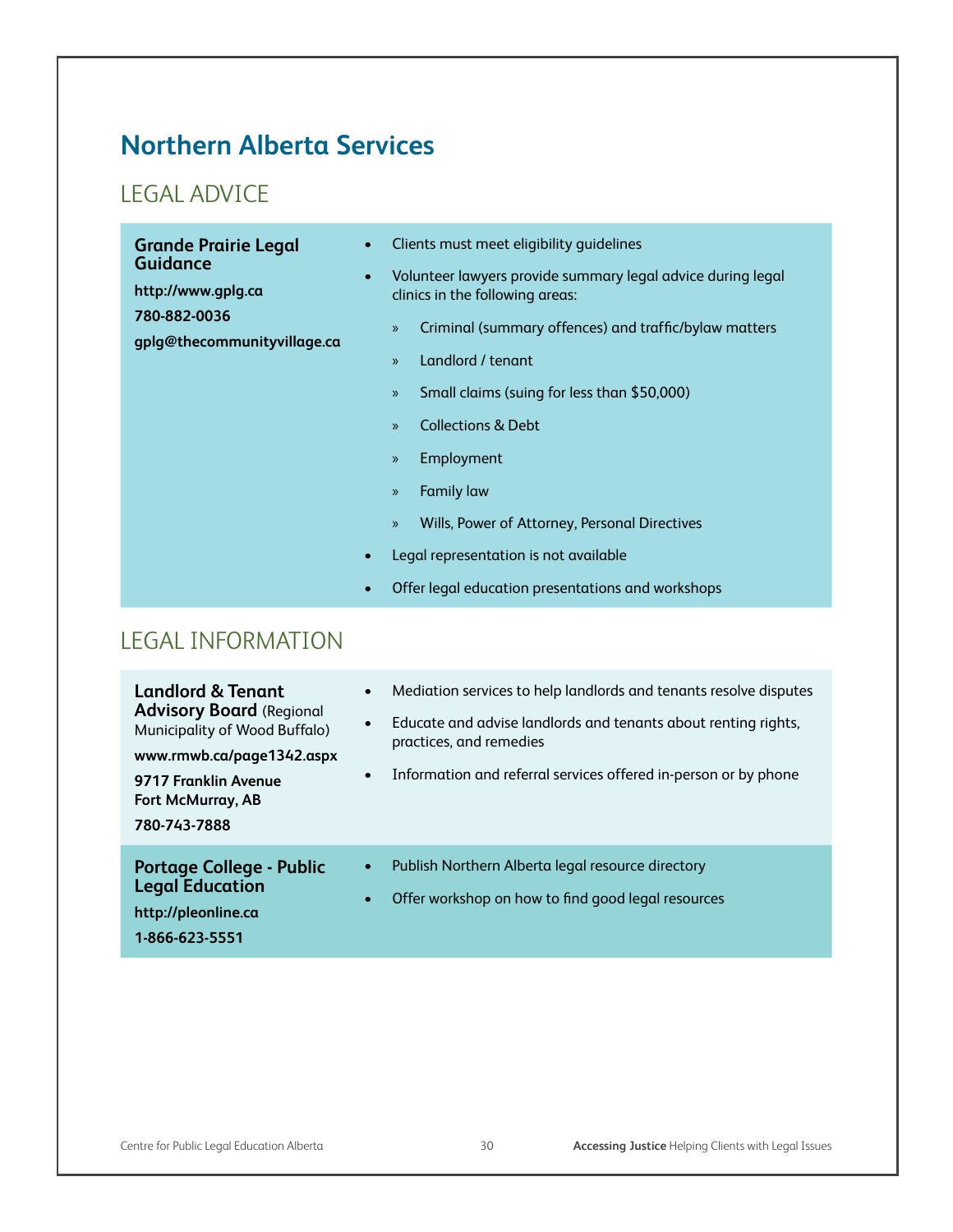# **Northern Alberta Services**

## LEGAL ADVICE

| <b>Grande Prairie Legal</b><br><b>Guidance</b><br>http://www.gplg.ca<br>780-882-0036<br>gplg@thecommunityvillage.ca | Clients must meet eligibility quidelines<br>Volunteer lawyers provide summary legal advice during legal<br>clinics in the following areas:<br>Criminal (summary offences) and traffic/bylaw matters<br>$\mathcal{V}$<br>Landlord / tenant<br>$\mathcal{V}$<br>Small claims (suing for less than \$50,000)<br>$\mathcal{V}$<br><b>Collections &amp; Debt</b><br>$\mathcal{V}$<br>Employment<br>$\mathcal{V}$<br><b>Family law</b><br>$\mathcal{V}$<br>Wills, Power of Attorney, Personal Directives<br>$\mathcal{V}$<br>Legal representation is not available<br>Offer legal education presentations and workshops |
|---------------------------------------------------------------------------------------------------------------------|-------------------------------------------------------------------------------------------------------------------------------------------------------------------------------------------------------------------------------------------------------------------------------------------------------------------------------------------------------------------------------------------------------------------------------------------------------------------------------------------------------------------------------------------------------------------------------------------------------------------|
| <b>LEGAL INFORMATION</b>                                                                                            |                                                                                                                                                                                                                                                                                                                                                                                                                                                                                                                                                                                                                   |

| <b>Landlord &amp; Tenant</b><br><b>Advisory Board (Regional</b><br>Municipality of Wood Buffalo)<br>www.rmwb.ca/page1342.aspx<br>9717 Franklin Avenue<br><b>Fort McMurray, AB</b><br>780-743-7888 | $\bullet$<br>$\bullet$ | Mediation services to help landlords and tenants resolve disputes<br>Educate and advise landlords and tenants about renting rights,<br>practices, and remedies<br>Information and referral services offered in-person or by phone |
|---------------------------------------------------------------------------------------------------------------------------------------------------------------------------------------------------|------------------------|-----------------------------------------------------------------------------------------------------------------------------------------------------------------------------------------------------------------------------------|
| <b>Portage College - Public</b><br><b>Legal Education</b><br>http://pleonline.ca<br>1-866-623-5551                                                                                                | $\bullet$<br>$\bullet$ | Publish Northern Alberta legal resource directory<br>Offer workshop on how to find good legal resources                                                                                                                           |